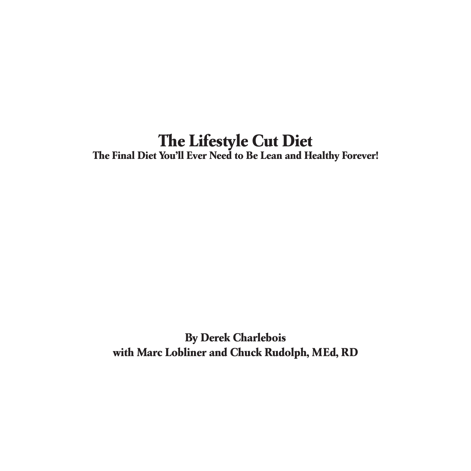#### **The Lifestyle Cut Diet The Final Diet You'll Ever Need to Be Lean and Healthy Forever!**

**By Derek Charlebois with Marc Lobliner and Chuck Rudolph, MEd, RD**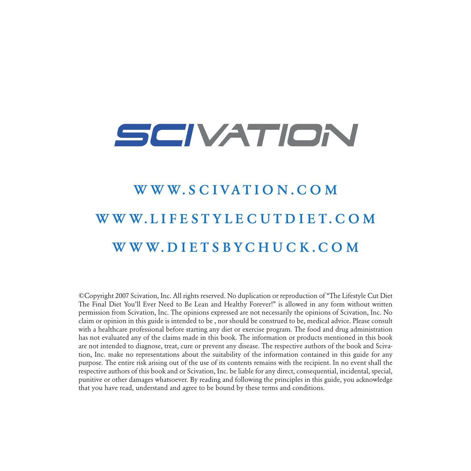## SCIVATION

### W W W SCIVATION COM W W W. L I F E S T Y L E C U T D I E T . C O M W W W. D I E T S B Y C H U C K . C O M

©Copyright 2007 Scivation, Inc. All rights reserved. No duplication or reproduction of "The Lifestyle Cut Diet The Final Diet You'll Ever Need to Be Lean and Healthy Forever!" is allowed in any form without written permission from Scivation, Inc. The opinions expressed are not necessarily the opinions of Scivation, Inc. No claim or opinion in this guide is intended to be , nor should be construed to be, medical advice. Please consult with a healthcare professional before starting any diet or exercise program. The food and drug administration has not evaluated any of the claims made in this book. The information or products mentioned in this book are not intended to diagnose, treat, cure or prevent any disease. The respective authors of the book and Scivation, Inc. make no representations about the suitability of the information contained in this guide for any purpose. The entire risk arising out of the use of its contents remains with the recipient. In no event shall the respective authors of this book and or Scivation, Inc. be liable for any direct, consequential, incidental, special, punitive or other damages whatsoever. By reading and following the principles in this guide, you acknowledge that you have read, understand and agree to be bound by these terms and conditions.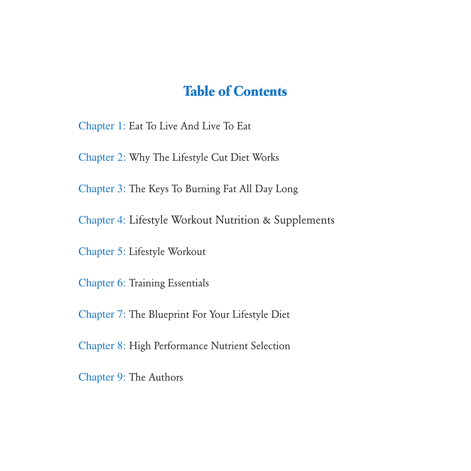#### **Table of Contents**

Chapter 1: Eat To Live And Live To Eat

Chapter 2: Why The Lifestyle Cut Diet Works

Chapter 3: The Keys To Burning Fat All Day Long

Chapter 4: Lifestyle Workout Nutrition & Supplements

Chapter 5: Lifestyle Workout

Chapter 6: Training Essentials

Chapter 7: The Blueprint For Your Lifestyle Diet

Chapter 8: High Performance Nutrient Selection

Chapter 9: The Authors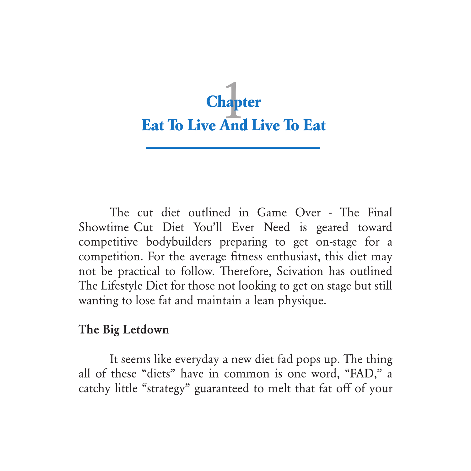

The cut diet outlined in Game Over - The Final Showtime Cut Diet You'll Ever Need is geared toward competitive bodybuilders preparing to get on-stage for a competition. For the average fitness enthusiast, this diet may not be practical to follow. Therefore, Scivation has outlined The Lifestyle Diet for those not looking to get on stage but still wanting to lose fat and maintain a lean physique.

#### The Big Letdown

It seems like everyday a new diet fad pops up. The thing all of these "diets" have in common is one word, "FAD," a catchy little "strategy" guaranteed to melt that fat off of your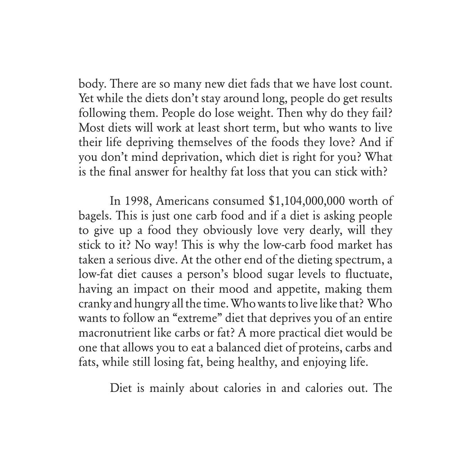body. There are so many new diet fads that we have lost count. Yet while the diets don't stay around long, people do get results following them. People do lose weight. Then why do they fail? Most diets will work at least short term, but who wants to live their life depriving themselves of the foods they love? And if you don't mind deprivation, which diet is right for you? What is the final answer for healthy fat loss that you can stick with?

In 1998, Americans consumed \$1,104,000,000 worth of bagels. This is just one carb food and if a diet is asking people to give up a food they obviously love very dearly, will they stick to it? No way! This is why the low-carb food market has taken a serious dive. At the other end of the dieting spectrum, a low-fat diet causes a person's blood sugar levels to fluctuate, having an impact on their mood and appetite, making them cranky and hungry all the time. Who wants to live like that? Who wants to follow an "extreme" diet that deprives you of an entire macronutrient like carbs or fat? A more practical diet would be one that allows you to eat a balanced diet of proteins, carbs and fats, while still losing fat, being healthy, and enjoying life.

Diet is mainly about calories in and calories out. The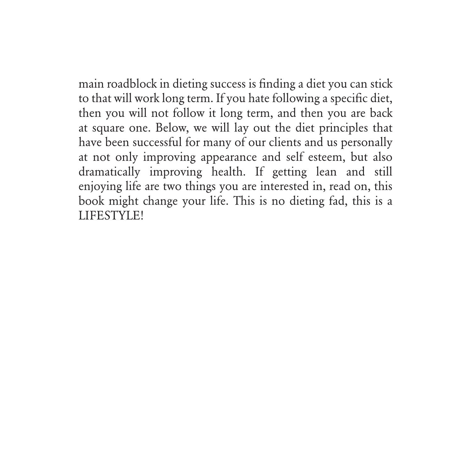main roadblock in dieting success is finding a diet you can stick to that will work long term. If you hate following a specific diet, then you will not follow it long term, and then you are back at square one. Below, we will lay out the diet principles that have been successful for many of our clients and us personally at not only improving appearance and self esteem, but also dramatically improving health. If getting lean and still enjoying life are two things you are interested in, read on, this book might change your life. This is no dieting fad, this is a LIFESTYLE!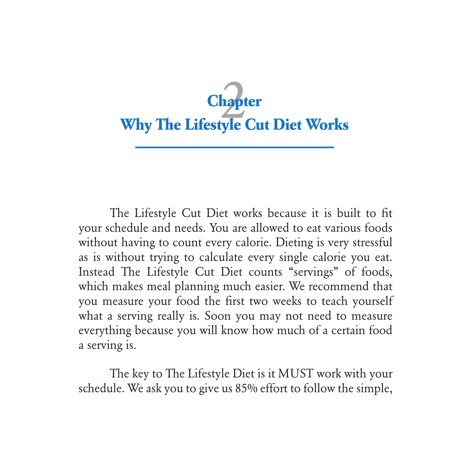## **Why The Lifestyle Cut Diet Works Chapter**

The Lifestyle Cut Diet works because it is built to fit your schedule and needs. You are allowed to eat various foods without having to count every calorie. Dieting is very stressful as is without trying to calculate every single calorie you eat. Instead The Lifestyle Cut Diet counts "servings" of foods, which makes meal planning much easier. We recommend that you measure your food the first two weeks to teach yourself what a serving really is. Soon you may not need to measure everything because you will know how much of a certain food a serving is.

The key to The Lifestyle Diet is it MUST work with your schedule. We ask you to give us 85% effort to follow the simple,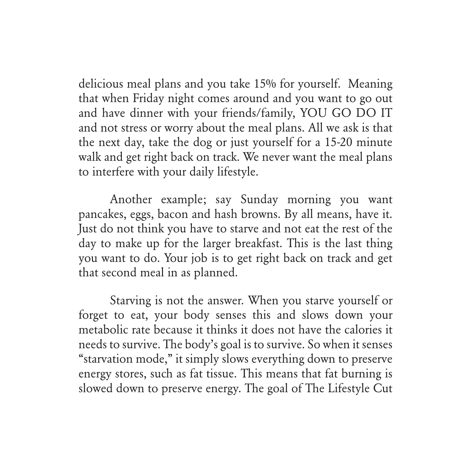delicious meal plans and you take 15% for yourself. Meaning that when Friday night comes around and you want to go out and have dinner with your friends/family, YOU GO DO IT and not stress or worry about the meal plans. All we ask is that the next day, take the dog or just yourself for a 15-20 minute walk and get right back on track. We never want the meal plans to interfere with your daily lifestyle.

Another example; say Sunday morning you want pancakes, eggs, bacon and hash browns. By all means, have it. Just do not think you have to starve and not eat the rest of the day to make up for the larger breakfast. This is the last thing you want to do. Your job is to get right back on track and get that second meal in as planned.

Starving is not the answer. When you starve yourself or forget to eat, your body senses this and slows down your metabolic rate because it thinks it does not have the calories it needs to survive. The body's goal is to survive. So when it senses "starvation mode," it simply slows everything down to preserve energy stores, such as fat tissue. This means that fat burning is slowed down to preserve energy. The goal of The Lifestyle Cut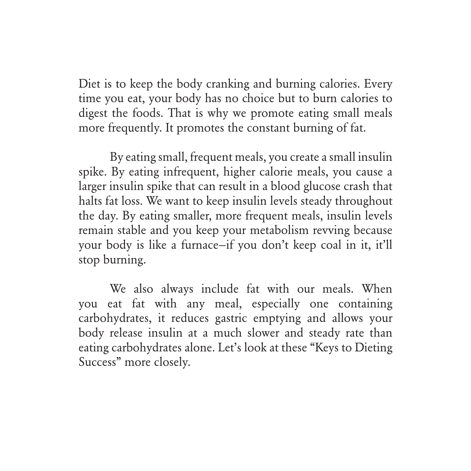Diet is to keep the body cranking and burning calories. Every time you eat, your body has no choice but to burn calories to digest the foods. That is why we promote eating small meals more frequently. It promotes the constant burning of fat.

By eating small, frequent meals, you create a small insulin spike. By eating infrequent, higher calorie meals, you cause a larger insulin spike that can result in a blood glucose crash that halts fat loss. We want to keep insulin levels steady throughout the day. By eating smaller, more frequent meals, insulin levels remain stable and you keep your metabolism revving because your body is like a furnace—if you don't keep coal in it, it'll stop burning.

We also always include fat with our meals. When you eat fat with any meal, especially one containing carbohydrates, it reduces gastric emptying and allows your body release insulin at a much slower and steady rate than eating carbohydrates alone. Let's look at these "Keys to Dieting Success" more closely.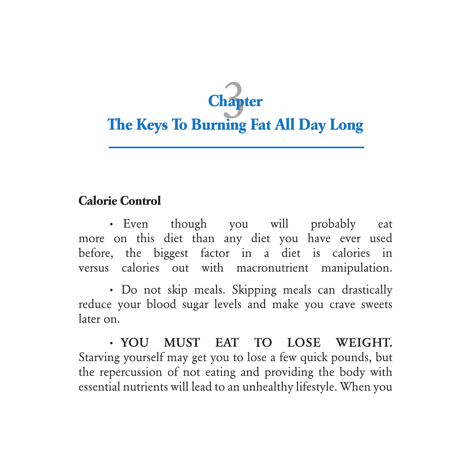# **Chapter**<br> **The Keys To Burning Fat All Day Long**

#### **Calorie Control**

**·** Even though you will probably eat more on this diet than any diet you have ever used before, the biggest factor in a diet is calories in versus calories out with macronutrient manipulation.

**·** Do not skip meals. Skipping meals can drastically reduce your blood sugar levels and make you crave sweets later on.

**·** YOU MUST EAT TO LOSE WEIGHT. Starving yourself may get you to lose a few quick pounds, but the repercussion of not eating and providing the body with essential nutrients will lead to an unhealthy lifestyle. When you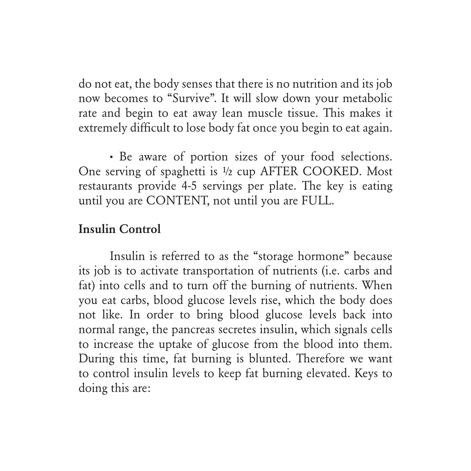do not eat, the body senses that there is no nutrition and its job now becomes to "Survive". It will slow down your metabolic rate and begin to eat away lean muscle tissue. This makes it extremely difficult to lose body fat once you begin to eat again.

**·** Be aware of portion sizes of your food selections. One serving of spaghetti is ½ cup AFTER COOKED. Most restaurants provide 4-5 servings per plate. The key is eating until you are CONTENT, not until you are FULL.

#### Insulin Control

Insulin is referred to as the "storage hormone" because its job is to activate transportation of nutrients (i.e. carbs and fat) into cells and to turn off the burning of nutrients. When you eat carbs, blood glucose levels rise, which the body does not like. In order to bring blood glucose levels back into normal range, the pancreas secretes insulin, which signals cells to increase the uptake of glucose from the blood into them. During this time, fat burning is blunted. Therefore we want to control insulin levels to keep fat burning elevated. Keys to doing this are: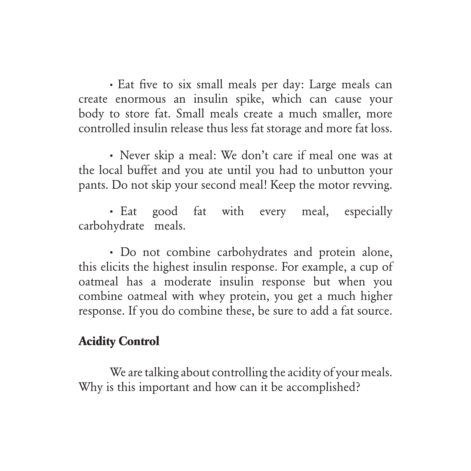**·** Eat five to six small meals per day: Large meals can create enormous an insulin spike, which can cause your body to store fat. Small meals create a much smaller, more controlled insulin release thus less fat storage and more fat loss.

**·** Never skip a meal: We don't care if meal one was at the local buffet and you ate until you had to unbutton your pants. Do not skip your second meal! Keep the motor revving.

**·** Eat good fat with every meal, especially carbohydrate meals.

**·** Do not combine carbohydrates and protein alone, this elicits the highest insulin response. For example, a cup of oatmeal has a moderate insulin response but when you combine oatmeal with whey protein, you get a much higher response. If you do combine these, be sure to add a fat source.

#### **Acidity Control**

We are talking about controlling the acidity of your meals. Why is this important and how can it be accomplished?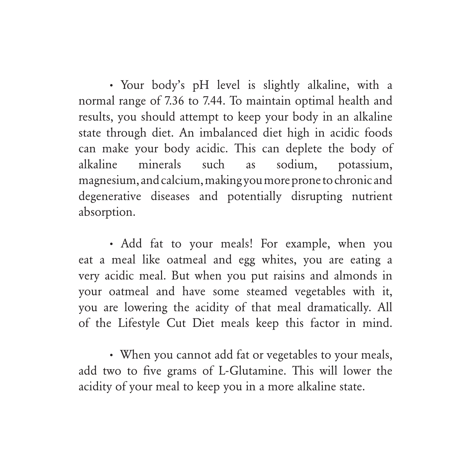**·** Your body's pH level is slightly alkaline, with a normal range of 7.36 to 7.44. To maintain optimal health and results, you should attempt to keep your body in an alkaline state through diet. An imbalanced diet high in acidic foods can make your body acidic. This can deplete the body of alkaline minerals such as sodium, potassium, magnesium, and calcium, making you more prone to chronic and degenerative diseases and potentially disrupting nutrient absorption.

**·** Add fat to your meals! For example, when you eat a meal like oatmeal and egg whites, you are eating a very acidic meal. But when you put raisins and almonds in your oatmeal and have some steamed vegetables with it, you are lowering the acidity of that meal dramatically. All of the Lifestyle Cut Diet meals keep this factor in mind.

**·** When you cannot add fat or vegetables to your meals, add two to five grams of L-Glutamine. This will lower the acidity of your meal to keep you in a more alkaline state.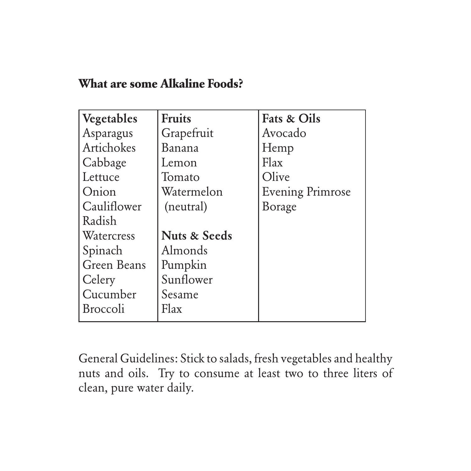#### **What are some Alkaline Foods?**

| Vegetables      | <b>Fruits</b>           | <b>Fats &amp; Oils</b>  |
|-----------------|-------------------------|-------------------------|
| Asparagus       | Grapefruit              | Avocado                 |
| Artichokes      | Banana                  | Hemp                    |
| Cabbage         | Lemon                   | Flax                    |
| Lettuce         | Tomato                  | Olive                   |
| Onion           | Watermelon              | <b>Evening Primrose</b> |
| Cauliflower     | (neutral)               | Borage                  |
| Radish          |                         |                         |
| Watercress      | <b>Nuts &amp; Seeds</b> |                         |
| Spinach         | Almonds                 |                         |
| Green Beans     | Pumpkin                 |                         |
| Celery          | Sunflower               |                         |
| Cucumber        | Sesame                  |                         |
| <b>Broccoli</b> | Flax                    |                         |

General Guidelines: Stick to salads, fresh vegetables and healthy nuts and oils. Try to consume at least two to three liters of clean, pure water daily.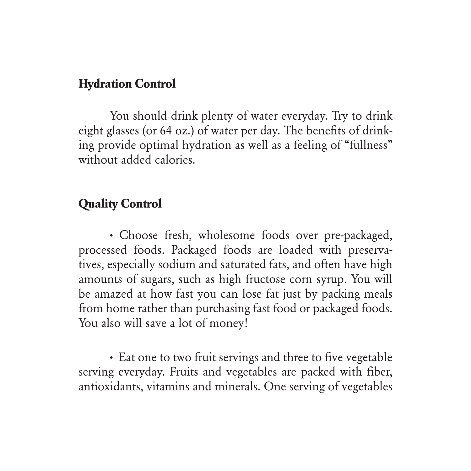#### **Hydration Control**

You should drink plenty of water everyday. Try to drink eight glasses (or 64 oz.) of water per day. The benefits of drinking provide optimal hydration as well as a feeling of "fullness" without added calories.

#### **Quality Control**

**·** Choose fresh, wholesome foods over pre-packaged, processed foods. Packaged foods are loaded with preservatives, especially sodium and saturated fats, and often have high amounts of sugars, such as high fructose corn syrup. You will be amazed at how fast you can lose fat just by packing meals from home rather than purchasing fast food or packaged foods. You also will save a lot of money!

**·** Eat one to two fruit servings and three to five vegetable serving everyday. Fruits and vegetables are packed with fiber, antioxidants, vitamins and minerals. One serving of vegetables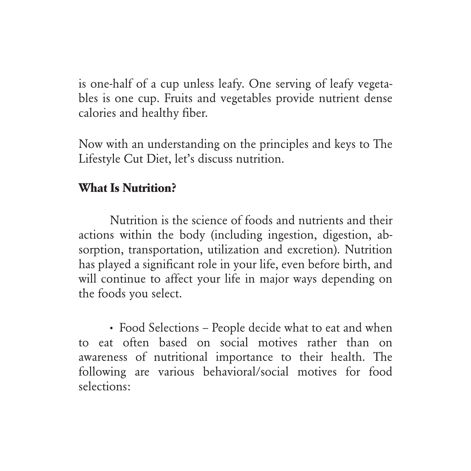is one-half of a cup unless leafy. One serving of leafy vegetables is one cup. Fruits and vegetables provide nutrient dense calories and healthy fiber.

Now with an understanding on the principles and keys to The Lifestyle Cut Diet, let's discuss nutrition.

#### **What Is Nutrition?**

Nutrition is the science of foods and nutrients and their actions within the body (including ingestion, digestion, absorption, transportation, utilization and excretion). Nutrition has played a significant role in your life, even before birth, and will continue to affect your life in major ways depending on the foods you select.

**·** Food Selections – People decide what to eat and when to eat often based on social motives rather than on awareness of nutritional importance to their health. The following are various behavioral/social motives for food selections: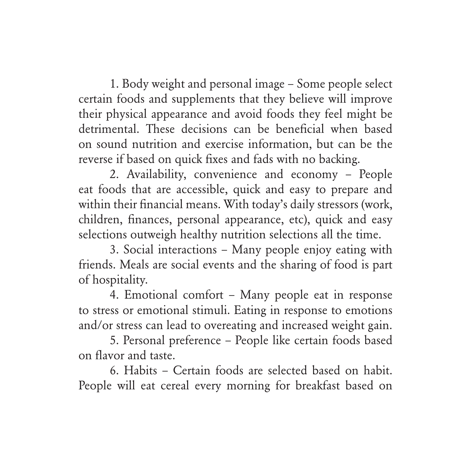1. Body weight and personal image – Some people select certain foods and supplements that they believe will improve their physical appearance and avoid foods they feel might be detrimental. These decisions can be beneficial when based on sound nutrition and exercise information, but can be the reverse if based on quick fixes and fads with no backing.

2. Availability, convenience and economy – People eat foods that are accessible, quick and easy to prepare and within their financial means. With today's daily stressors (work, children, finances, personal appearance, etc), quick and easy selections outweigh healthy nutrition selections all the time.

3. Social interactions – Many people enjoy eating with friends. Meals are social events and the sharing of food is part of hospitality.

4. Emotional comfort – Many people eat in response to stress or emotional stimuli. Eating in response to emotions and/or stress can lead to overeating and increased weight gain.

5. Personal preference – People like certain foods based on flavor and taste.

6. Habits – Certain foods are selected based on habit. People will eat cereal every morning for breakfast based on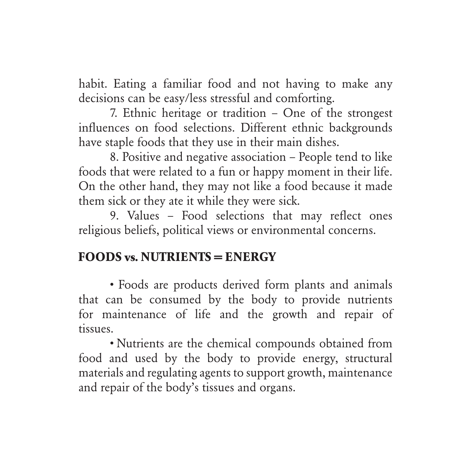habit. Eating a familiar food and not having to make any decisions can be easy/less stressful and comforting.

7. Ethnic heritage or tradition – One of the strongest influences on food selections. Different ethnic backgrounds have staple foods that they use in their main dishes.

8. Positive and negative association – People tend to like foods that were related to a fun or happy moment in their life. On the other hand, they may not like a food because it made them sick or they ate it while they were sick.

9. Values – Food selections that may reflect ones religious beliefs, political views or environmental concerns.

#### **FOODS vs. NUTRIENTS = ENERGY**

• Foods are products derived form plants and animals that can be consumed by the body to provide nutrients for maintenance of life and the growth and repair of tissues.

• Nutrients are the chemical compounds obtained from food and used by the body to provide energy, structural materials and regulating agents to support growth, maintenance and repair of the body's tissues and organs.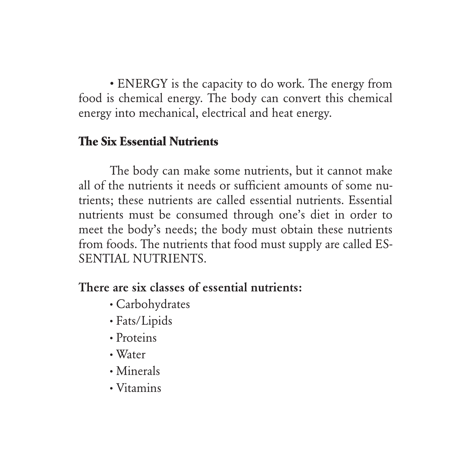• ENERGY is the capacity to do work. The energy from food is chemical energy. The body can convert this chemical energy into mechanical, electrical and heat energy.

#### **The Six Essential Nutrients**

The body can make some nutrients, but it cannot make all of the nutrients it needs or sufficient amounts of some nutrients; these nutrients are called essential nutrients. Essential nutrients must be consumed through one's diet in order to meet the body's needs; the body must obtain these nutrients from foods. The nutrients that food must supply are called ES-SENTIAL NUTRIENTS.

#### There are six classes of essential nutrients:

- **·** Carbohydrates
- **·** Fats/Lipids
- **·** Proteins
- **·** Water
- **·** Minerals
- **·** Vitamins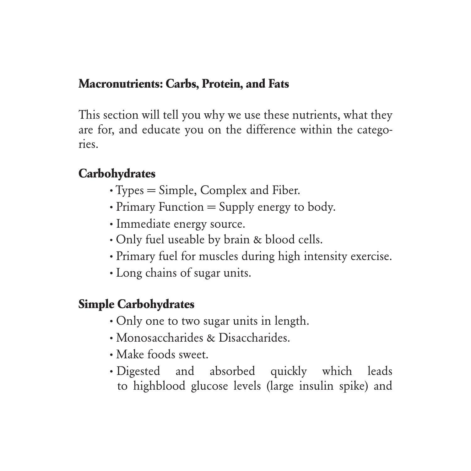#### **Macronutrients: Carbs, Protein, and Fats**

This section will tell you why we use these nutrients, what they are for, and educate you on the difference within the categories.

#### **Carbohydrates**

- **·** Types = Simple, Complex and Fiber.
- **·** Primary Function = Supply energy to body.
- **·** Immediate energy source.
- **·** Only fuel useable by brain & blood cells.
- **·** Primary fuel for muscles during high intensity exercise.
- **·** Long chains of sugar units.

#### **Simple Carbohydrates**

- **·** Only one to two sugar units in length.
- **·** Monosaccharides & Disaccharides.
- **·** Make foods sweet.
- **·** Digested and absorbed quickly which leads to highblood glucose levels (large insulin spike) and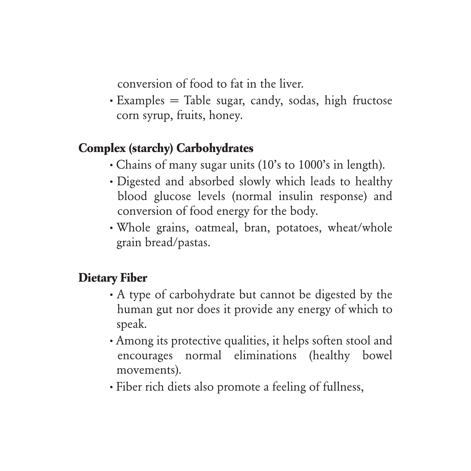conversion of food to fat in the liver.

**·** Examples = Table sugar, candy, sodas, high fructose corn syrup, fruits, honey.

#### **Complex (starchy) Carbohydrates**

- **·** Chains of many sugar units (10's to 1000's in length).
- **·** Digested and absorbed slowly which leads to healthy blood glucose levels (normal insulin response) and conversion of food energy for the body.
- **·** Whole grains, oatmeal, bran, potatoes, wheat/whole grain bread/pastas.

#### **Dietary Fiber**

- **·** A type of carbohydrate but cannot be digested by the human gut nor does it provide any energy of which to speak.
- **·** Among its protective qualities, it helps soften stool and encourages normal eliminations (healthy bowel movements).
- **·** Fiber rich diets also promote a feeling of fullness,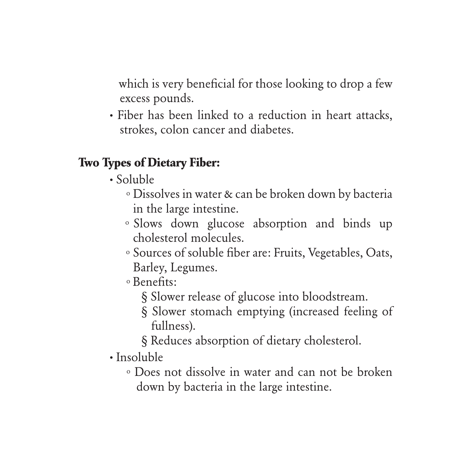which is very beneficial for those looking to drop a few excess pounds.

**·** Fiber has been linked to a reduction in heart attacks, strokes, colon cancer and diabetes.

#### **Two Types of Dietary Fiber:**

- **·** Soluble
	- o Dissolves in water & can be broken down by bacteria in the large intestine.
	- o Slows down glucose absorption and binds up cholesterol molecules.
	- o Sources of soluble fiber are: Fruits, Vegetables, Oats, Barley, Legumes.
	- o Benefits:
		- § Slower release of glucose into bloodstream.
		- § Slower stomach emptying (increased feeling of fullness).
		- § Reduces absorption of dietary cholesterol.
- **·** Insoluble
	- o Does not dissolve in water and can not be broken down by bacteria in the large intestine.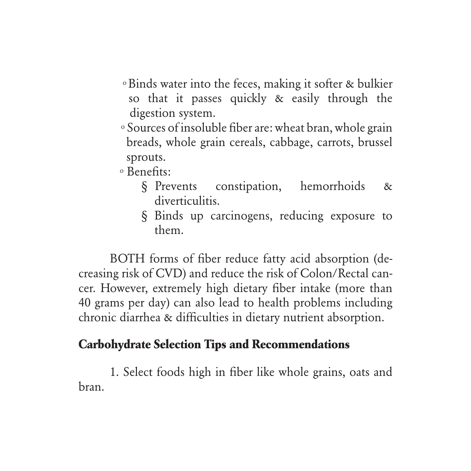- o Binds water into the feces, making it softer & bulkier so that it passes quickly & easily through the digestion system.
- o Sources of insoluble fiber are: wheat bran, whole grain breads, whole grain cereals, cabbage, carrots, brussel sprouts.

o Benefits:

- § Prevents constipation, hemorrhoids & diverticulitis.
- § Binds up carcinogens, reducing exposure to them.

BOTH forms of fiber reduce fatty acid absorption (decreasing risk of CVD) and reduce the risk of Colon/Rectal cancer. However, extremely high dietary fiber intake (more than 40 grams per day) can also lead to health problems including chronic diarrhea & difficulties in dietary nutrient absorption.

#### **Carbohydrate Selection Tips and Recommendations**

1. Select foods high in fiber like whole grains, oats and bran.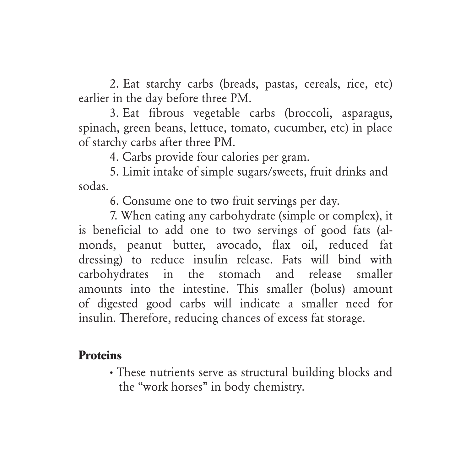2. Eat starchy carbs (breads, pastas, cereals, rice, etc) earlier in the day before three PM.

3. Eat fibrous vegetable carbs (broccoli, asparagus, spinach, green beans, lettuce, tomato, cucumber, etc) in place of starchy carbs after three PM.

4. Carbs provide four calories per gram.

5. Limit intake of simple sugars/sweets, fruit drinks and sodas.

6. Consume one to two fruit servings per day.

7. When eating any carbohydrate (simple or complex), it is beneficial to add one to two servings of good fats (almonds, peanut butter, avocado, flax oil, reduced fat dressing) to reduce insulin release. Fats will bind with carbohydrates in the stomach and release smaller amounts into the intestine. This smaller (bolus) amount of digested good carbs will indicate a smaller need for insulin. Therefore, reducing chances of excess fat storage.

#### **Proteins**

**·** These nutrients serve as structural building blocks and the "work horses" in body chemistry.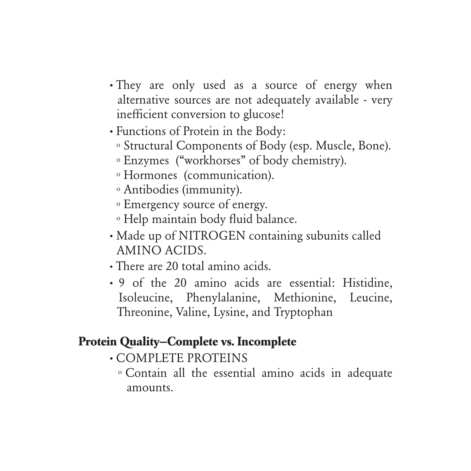- They are only used as a source of energy when alternative sources are not adequately available - very inefficient conversion to glucose!
- **·** Functions of Protein in the Body:
	- o Structural Components of Body (esp. Muscle, Bone).
	- o Enzymes ("workhorses" of body chemistry).
	- o Hormones (communication).
	- o Antibodies (immunity).
	- o Emergency source of energy.
	- o Help maintain body fluid balance.
- **·** Made up of NITROGEN containing subunits called AMINO ACIDS.
- **·** There are 20 total amino acids.
- **·** 9 of the 20 amino acids are essential: Histidine, Isoleucine, Phenylalanine, Methionine, Leucine, Threonine, Valine, Lysine, and Tryptophan

#### **Protein Quality—Complete vs. Incomplete**

- **·** COMPLETE PROTEINS
	- o Contain all the essential amino acids in adequate amounts.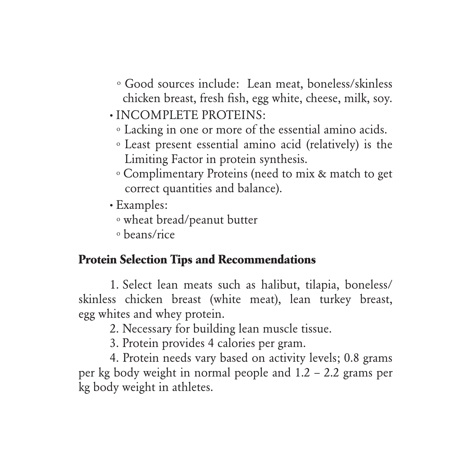- o Good sources include: Lean meat, boneless/skinless chicken breast, fresh fish, egg white, cheese, milk, soy.
- **·** INCOMPLETE PROTEINS:
	- o Lacking in one or more of the essential amino acids.
	- o Least present essential amino acid (relatively) is the Limiting Factor in protein synthesis.
	- o Complimentary Proteins (need to mix & match to get correct quantities and balance).
- **·** Examples:
	- o wheat bread/peanut butter
	- o beans/rice

#### **Protein Selection Tips and Recommendations**

1. Select lean meats such as halibut, tilapia, boneless/ skinless chicken breast (white meat), lean turkey breast, egg whites and whey protein.

2. Necessary for building lean muscle tissue.

3. Protein provides 4 calories per gram.

4. Protein needs vary based on activity levels; 0.8 grams per kg body weight in normal people and 1.2 – 2.2 grams per kg body weight in athletes.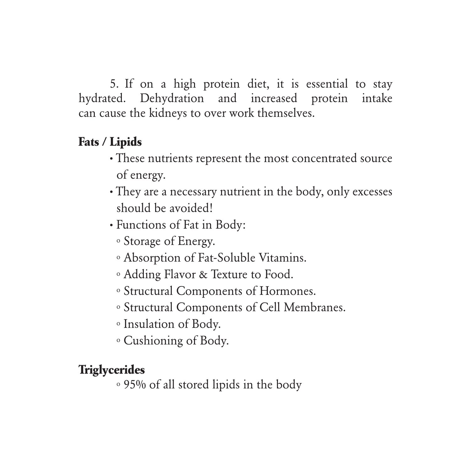5. If on a high protein diet, it is essential to stay hydrated. Dehydration and increased protein intake can cause the kidneys to over work themselves.

#### **Fats / Lipids**

- **·** These nutrients represent the most concentrated source of energy.
- **·** They are a necessary nutrient in the body, only excesses should be avoided!
- **·** Functions of Fat in Body:
	- o Storage of Energy.
	- o Absorption of Fat-Soluble Vitamins.
	- o Adding Flavor & Texture to Food.
	- o Structural Components of Hormones.
	- o Structural Components of Cell Membranes.
	- o Insulation of Body.
	- o Cushioning of Body.

#### **Triglycerides**

o 95% of all stored lipids in the body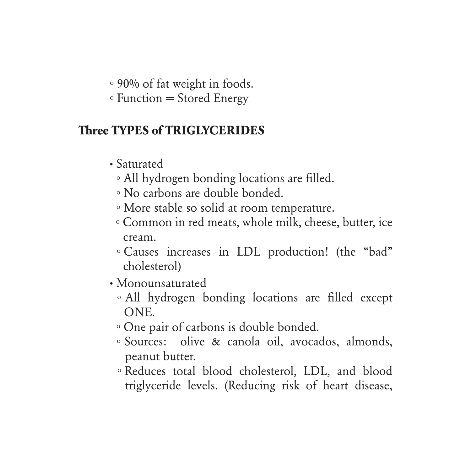o 90% of fat weight in foods.

 $\circ$  Function = Stored Energy

#### **Three TYPES of TRIGLYCERIDES**

- **·** Saturated
	- o All hydrogen bonding locations are filled.
	- o No carbons are double bonded.
	- o More stable so solid at room temperature.
	- o Common in red meats, whole milk, cheese, butter, ice cream.
	- o Causes increases in LDL production! (the "bad" cholesterol)
- **·** Monounsaturated
	- o All hydrogen bonding locations are filled except ONE.
	- o One pair of carbons is double bonded.
	- o Sources: olive & canola oil, avocados, almonds, peanut butter.
	- o Reduces total blood cholesterol, LDL, and blood triglyceride levels. (Reducing risk of heart disease,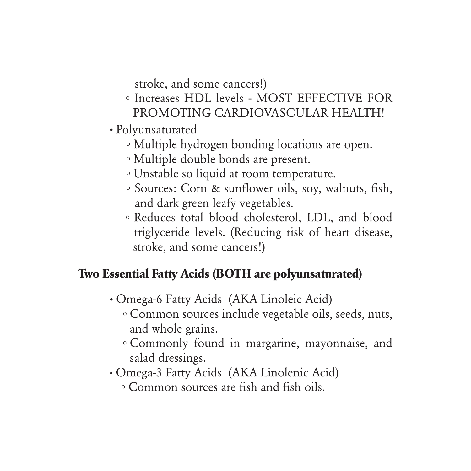stroke, and some cancers!)

- o Increases HDL levels MOST EFFECTIVE FOR PROMOTING CARDIOVASCULAR HEALTH!
- **·** Polyunsaturated
	- o Multiple hydrogen bonding locations are open.
	- o Multiple double bonds are present.
	- o Unstable so liquid at room temperature.
	- o Sources: Corn & sunflower oils, soy, walnuts, fish, and dark green leafy vegetables.
	- o Reduces total blood cholesterol, LDL, and blood triglyceride levels. (Reducing risk of heart disease, stroke, and some cancers!)

#### **Two Essential Fatty Acids (BOTH are polyunsaturated)**

- **·** Omega-6 Fatty Acids (AKA Linoleic Acid)
	- o Common sources include vegetable oils, seeds, nuts, and whole grains.
	- o Commonly found in margarine, mayonnaise, and salad dressings.
- **·** Omega-3 Fatty Acids (AKA Linolenic Acid)
	- o Common sources are fish and fish oils.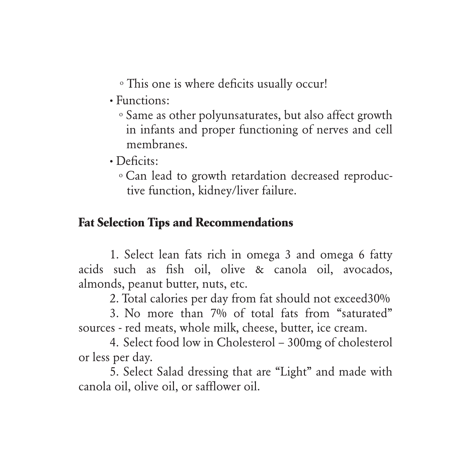o This one is where deficits usually occur!

- **·** Functions:
	- o Same as other polyunsaturates, but also affect growth in infants and proper functioning of nerves and cell membranes.
- **·** Deficits:
	- o Can lead to growth retardation decreased reproduc tive function, kidney/liver failure.

#### **Fat Selection Tips and Recommendations**

1. Select lean fats rich in omega 3 and omega 6 fatty acids such as fish oil, olive & canola oil, avocados, almonds, peanut butter, nuts, etc.

2. Total calories per day from fat should not exceed30%

3. No more than 7% of total fats from "saturated" sources - red meats, whole milk, cheese, butter, ice cream.

4. Select food low in Cholesterol – 300mg of cholesterol or less per day.

5. Select Salad dressing that are "Light" and made with canola oil, olive oil, or safflower oil.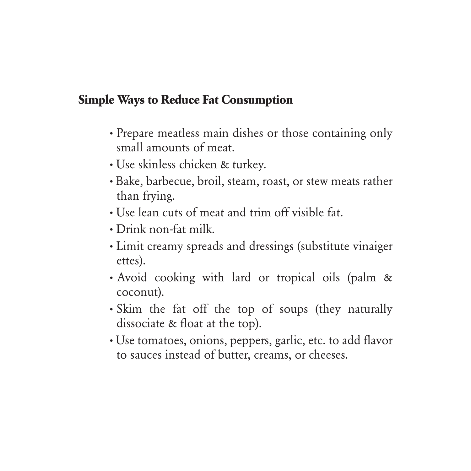#### **Simple Ways to Reduce Fat Consumption**

- **·** Prepare meatless main dishes or those containing only small amounts of meat.
- **·** Use skinless chicken & turkey.
- **·** Bake, barbecue, broil, steam, roast, or stew meats rather than frying.
- **·** Use lean cuts of meat and trim off visible fat.
- **·** Drink non-fat milk.
- **·** Limit creamy spreads and dressings (substitute vinaiger ettes).
- **·** Avoid cooking with lard or tropical oils (palm & coconut).
- **·** Skim the fat off the top of soups (they naturally dissociate & float at the top).
- **·** Use tomatoes, onions, peppers, garlic, etc. to add flavor to sauces instead of butter, creams, or cheeses.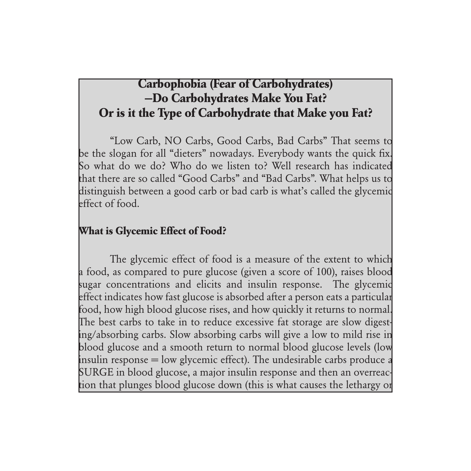#### **Carbophobia (Fear of Carbohydrates) —Do Carbohydrates Make You Fat? Or is it the Type of Carbohydrate that Make you Fat?**

"Low Carb, NO Carbs, Good Carbs, Bad Carbs" That seems to be the slogan for all "dieters" nowadays. Everybody wants the quick fix. So what do we do? Who do we listen to? Well research has indicated that there are so called "Good Carbs" and "Bad Carbs". What helps us to distinguish between a good carb or bad carb is what's called the glycemic effect of food.

#### **What is Glycemic Effect of Food?**

The glycemic effect of food is a measure of the extent to which a food, as compared to pure glucose (given a score of 100), raises blood sugar concentrations and elicits and insulin response. The glycemic effect indicates how fast glucose is absorbed after a person eats a particular food, how high blood glucose rises, and how quickly it returns to normal. The best carbs to take in to reduce excessive fat storage are slow digesting/absorbing carbs. Slow absorbing carbs will give a low to mild rise in blood glucose and a smooth return to normal blood glucose levels (low insulin response  $=$  low glycemic effect). The undesirable carbs produce a SURGE in blood glucose, a major insulin response and then an overreaction that plunges blood glucose down (this is what causes the lethargy or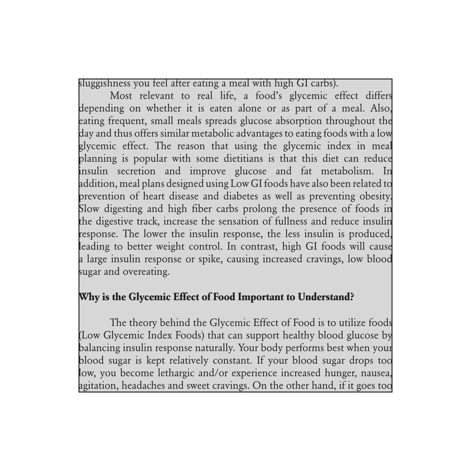sluggishness you feel after eating a meal with high GI carbs).

Most relevant to real life, a food's glycemic effect differs depending on whether it is eaten alone or as part of a meal. Also, eating frequent, small meals spreads glucose absorption throughout the day and thus offers similar metabolic advantages to eating foods with a low glycemic effect. The reason that using the glycemic index in meal planning is popular with some dietitians is that this diet can reduce insulin secretion and improve glucose and fat metabolism. In addition, meal plans designed using Low GI foods have also been related to prevention of heart disease and diabetes as well as preventing obesity. Slow digesting and high fiber carbs prolong the presence of foods in the digestive track, increase the sensation of fullness and reduce insulin response. The lower the insulin response, the less insulin is produced, leading to better weight control. In contrast, high GI foods will cause a large insulin response or spike, causing increased cravings, low blood sugar and overeating.

#### **Why is the Glycemic Effect of Food Important to Understand?**

The theory behind the Glycemic Effect of Food is to utilize foods (Low Glycemic Index Foods) that can support healthy blood glucose by balancing insulin response naturally. Your body performs best when your blood sugar is kept relatively constant. If your blood sugar drops too low, you become lethargic and/or experience increased hunger, nausea, agitation, headaches and sweet cravings. On the other hand, if it goes too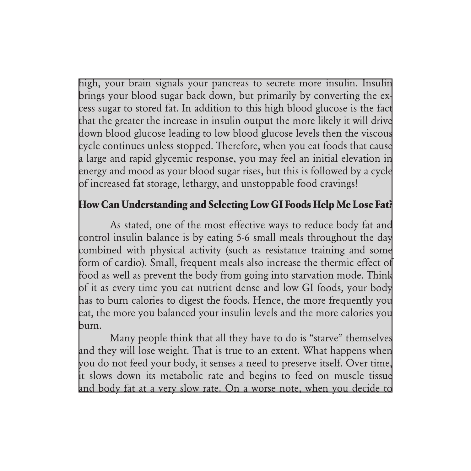high, your brain signals your pancreas to secrete more insulin. Insulin brings your blood sugar back down, but primarily by converting the excess sugar to stored fat. In addition to this high blood glucose is the fact that the greater the increase in insulin output the more likely it will drive down blood glucose leading to low blood glucose levels then the viscous cycle continues unless stopped. Therefore, when you eat foods that cause a large and rapid glycemic response, you may feel an initial elevation in energy and mood as your blood sugar rises, but this is followed by a cycle of increased fat storage, lethargy, and unstoppable food cravings!

#### **How Can Understanding and Selecting Low GI Foods Help Me Lose Fat?**

As stated, one of the most effective ways to reduce body fat and control insulin balance is by eating 5-6 small meals throughout the day combined with physical activity (such as resistance training and some form of cardio). Small, frequent meals also increase the thermic effect of food as well as prevent the body from going into starvation mode. Think of it as every time you eat nutrient dense and low GI foods, your body has to burn calories to digest the foods. Hence, the more frequently you eat, the more you balanced your insulin levels and the more calories you burn.

Many people think that all they have to do is "starve" themselves and they will lose weight. That is true to an extent. What happens when you do not feed your body, it senses a need to preserve itself. Over time, it slows down its metabolic rate and begins to feed on muscle tissue and body fat at a very slow rate. On a worse note, when you decide to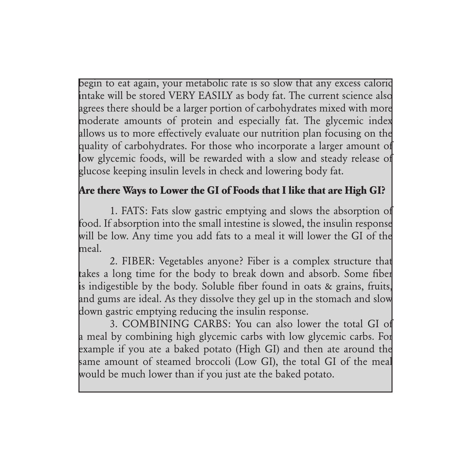begin to eat again, your metabolic rate is so slow that any excess caloric intake will be stored VERY EASILY as body fat. The current science also agrees there should be a larger portion of carbohydrates mixed with more moderate amounts of protein and especially fat. The glycemic index allows us to more effectively evaluate our nutrition plan focusing on the quality of carbohydrates. For those who incorporate a larger amount of low glycemic foods, will be rewarded with a slow and steady release of glucose keeping insulin levels in check and lowering body fat.

#### **Are there Ways to Lower the GI of Foods that I like that are High GI?**

1. FATS: Fats slow gastric emptying and slows the absorption of food. If absorption into the small intestine is slowed, the insulin response will be low. Any time you add fats to a meal it will lower the GI of the meal.

2. FIBER: Vegetables anyone? Fiber is a complex structure that takes a long time for the body to break down and absorb. Some fiber is indigestible by the body. Soluble fiber found in oats & grains, fruits, and gums are ideal. As they dissolve they gel up in the stomach and slow down gastric emptying reducing the insulin response.

3. COMBINING CARBS: You can also lower the total GI of a meal by combining high glycemic carbs with low glycemic carbs. For example if you ate a baked potato (High GI) and then ate around the same amount of steamed broccoli (Low GI), the total GI of the meal would be much lower than if you just ate the baked potato.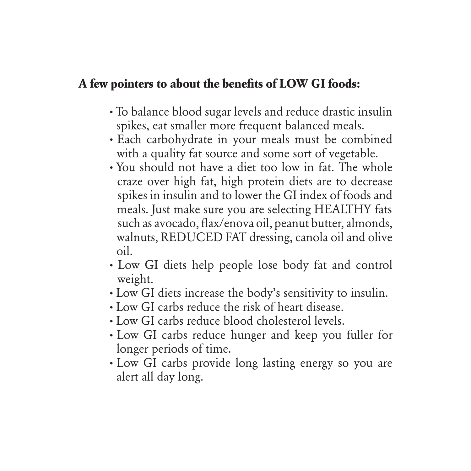#### **A few pointers to about the benefits of LOW GI foods:**

- **·** To balance blood sugar levels and reduce drastic insulin spikes, eat smaller more frequent balanced meals.
- **·** Each carbohydrate in your meals must be combined with a quality fat source and some sort of vegetable.
- **·** You should not have a diet too low in fat. The whole craze over high fat, high protein diets are to decrease spikes in insulin and to lower the GI index of foods and meals. Just make sure you are selecting HEALTHY fats such as avocado, flax/enova oil, peanut butter, almonds, walnuts, REDUCED FAT dressing, canola oil and olive oil.
- **·** Low GI diets help people lose body fat and control weight.
- **·** Low GI diets increase the body's sensitivity to insulin.
- **·** Low GI carbs reduce the risk of heart disease.
- **·** Low GI carbs reduce blood cholesterol levels.
- **·** Low GI carbs reduce hunger and keep you fuller for longer periods of time.
- **·** Low GI carbs provide long lasting energy so you are alert all day long.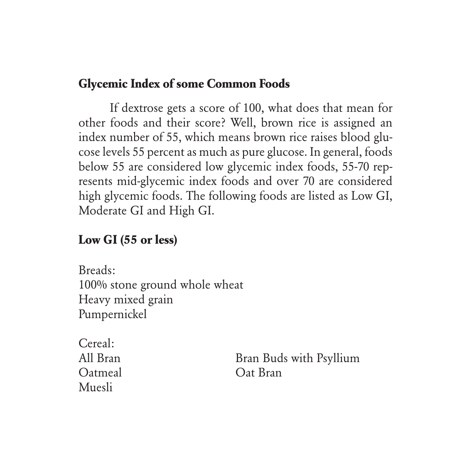#### **Glycemic Index of some Common Foods**

If dextrose gets a score of 100, what does that mean for other foods and their score? Well, brown rice is assigned an index number of 55, which means brown rice raises blood glucose levels 55 percent as much as pure glucose. In general, foods below 55 are considered low glycemic index foods, 55-70 represents mid-glycemic index foods and over 70 are considered high glycemic foods. The following foods are listed as Low GI, Moderate GI and High GI.

#### **Low GI (55 or less)**

Breads: 100% stone ground whole wheat Heavy mixed grain Pumpernickel

Cereal: Muesli

All Bran Buds with Psyllium Oatmeal Oat Bran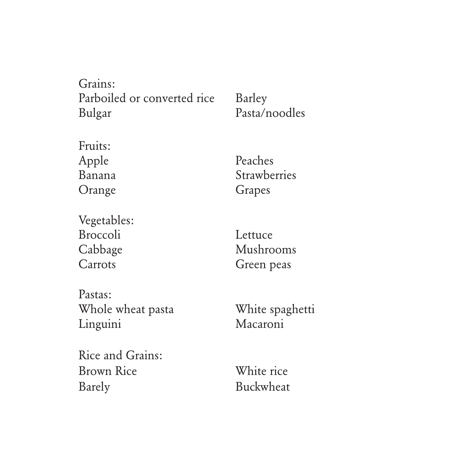Grains: Parboiled or converted rice Barley Bulgar Pasta/noodles

Fruits: Apple Peaches Orange Grapes

Banana Strawberries

Vegetables: Broccoli Lettuce Cabbage Mushrooms Carrots Green peas

Pastas: Whole wheat pasta White spaghetti Linguini Macaroni

Rice and Grains: Brown Rice White rice Barely Buckwheat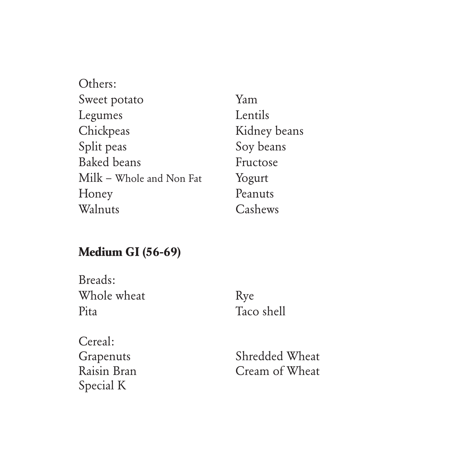| Others:                  |              |
|--------------------------|--------------|
| Sweet potato             | Yam          |
| Legumes                  | Lentils      |
| Chickpeas                | Kidney beans |
| Split peas               | Soy beans    |
| <b>Baked</b> beans       | Fructose     |
| Milk - Whole and Non Fat | Yogurt       |
| Honey                    | Peanuts      |
| Walnuts                  | Cashews      |

# **Medium GI (56-69)**

| Breads:     |            |
|-------------|------------|
| Whole wheat | Rye        |
| Pita        | Taco shell |

| Cereal:     |
|-------------|
| Grapenuts   |
| Raisin Bran |
| Special K   |

Shredded Wheat Cream of Wheat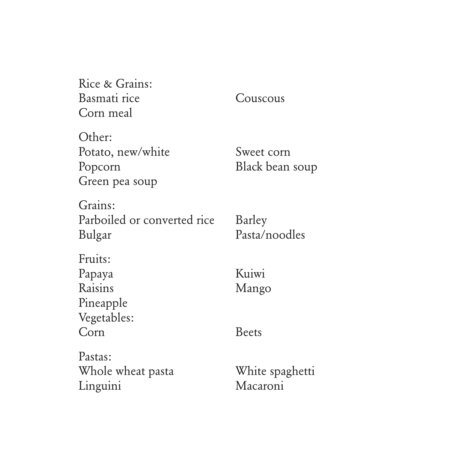| Rice & Grains:              |                 |
|-----------------------------|-----------------|
| Basmati rice                | Couscous        |
| Corn meal                   |                 |
| Other:                      |                 |
| Potato, new/white           | Sweet corn      |
| Popcorn                     | Black bean soup |
| Green pea soup              |                 |
| Grains:                     |                 |
| Parboiled or converted rice | Barley          |
| Bulgar                      | Pasta/noodles   |
| Fruits:                     |                 |
| Papaya                      | Kuiwi           |
| Raisins                     | Mango           |
| Pineapple                   |                 |
| Vegetables:                 |                 |
| Corn                        | <b>Beets</b>    |
| Pastas:                     |                 |
| Whole wheat pasta           | White spaghetti |
| Linguini                    | Macaroni        |
|                             |                 |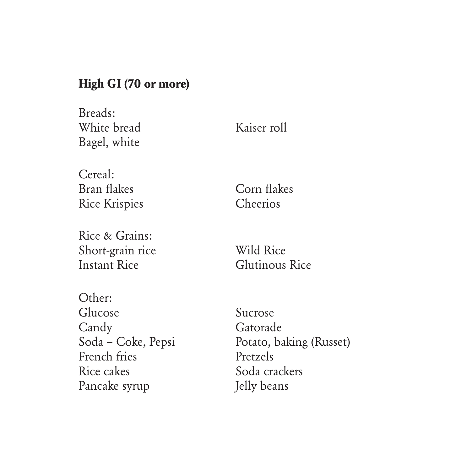#### **High GI (70 or more)**

Breads: White bread Kaiser roll Bagel, white

Cereal: Bran flakes Corn flakes Rice Krispies Cheerios

Rice & Grains: Short-grain rice Wild Rice Instant Rice Glutinous Rice

Other: Glucose Sucrose Candy Gatorade French fries Pretzels Rice cakes Soda crackers Pancake syrup Jelly beans

Soda – Coke, Pepsi Potato, baking (Russet)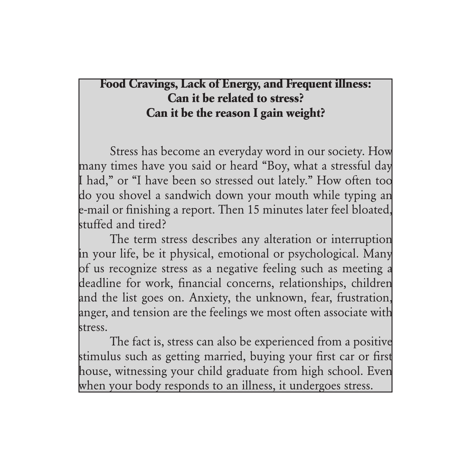# **Food Cravings, Lack of Energy, and Frequent illness: Can it be related to stress? Can it be the reason I gain weight?**

Stress has become an everyday word in our society. How many times have you said or heard "Boy, what a stressful day I had," or "I have been so stressed out lately." How often too do you shovel a sandwich down your mouth while typing an e-mail or finishing a report. Then 15 minutes later feel bloated, stuffed and tired?

The term stress describes any alteration or interruption in your life, be it physical, emotional or psychological. Many of us recognize stress as a negative feeling such as meeting a deadline for work, financial concerns, relationships, children and the list goes on. Anxiety, the unknown, fear, frustration, anger, and tension are the feelings we most often associate with stress.

The fact is, stress can also be experienced from a positive stimulus such as getting married, buying your first car or first house, witnessing your child graduate from high school. Even when your body responds to an illness, it undergoes stress.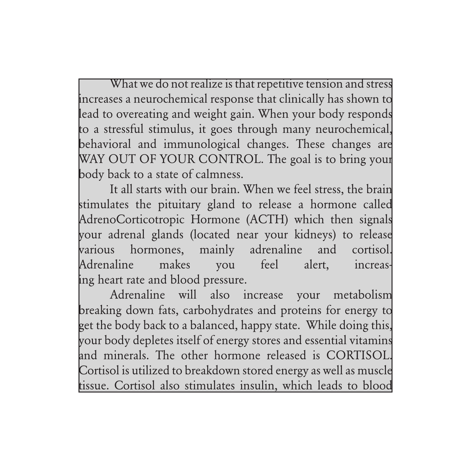What we do not realize is that repetitive tension and stress increases a neurochemical response that clinically has shown to lead to overeating and weight gain. When your body responds to a stressful stimulus, it goes through many neurochemical, behavioral and immunological changes. These changes are WAY OUT OF YOUR CONTROL. The goal is to bring your body back to a state of calmness.

It all starts with our brain. When we feel stress, the brain stimulates the pituitary gland to release a hormone called AdrenoCorticotropic Hormone (ACTH) which then signals your adrenal glands (located near your kidneys) to release various hormones, mainly adrenaline and cortisol. Adrenaline makes you feel alert, increasing heart rate and blood pressure.

Adrenaline will also increase your metabolism breaking down fats, carbohydrates and proteins for energy to get the body back to a balanced, happy state. While doing this, your body depletes itself of energy stores and essential vitamins and minerals. The other hormone released is CORTISOL. Cortisol is utilized to breakdown stored energy as well as muscle tissue. Cortisol also stimulates insulin, which leads to blood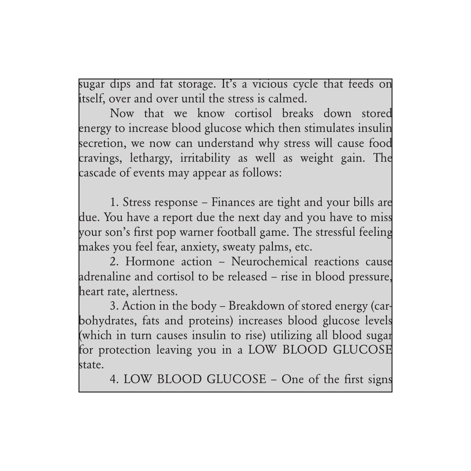sugar dips and fat storage. It's a vicious cycle that feeds on itself, over and over until the stress is calmed.

Now that we know cortisol breaks down stored energy to increase blood glucose which then stimulates insulin secretion, we now can understand why stress will cause food cravings, lethargy, irritability as well as weight gain. The cascade of events may appear as follows:

1. Stress response – Finances are tight and your bills are due. You have a report due the next day and you have to miss your son's first pop warner football game. The stressful feeling makes you feel fear, anxiety, sweaty palms, etc.

2. Hormone action – Neurochemical reactions cause adrenaline and cortisol to be released – rise in blood pressure, heart rate, alertness.

3. Action in the body – Breakdown of stored energy (carbohydrates, fats and proteins) increases blood glucose levels (which in turn causes insulin to rise) utilizing all blood sugar for protection leaving you in a LOW BLOOD GLUCOSE state.

4. LOW BLOOD GLUCOSE – One of the first signs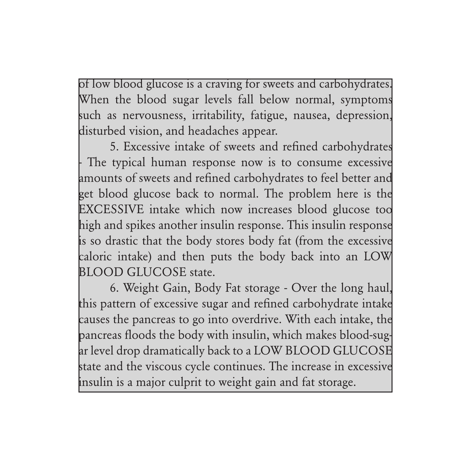of low blood glucose is a craving for sweets and carbohydrates. When the blood sugar levels fall below normal, symptoms such as nervousness, irritability, fatigue, nausea, depression, disturbed vision, and headaches appear.

5. Excessive intake of sweets and refined carbohydrates - The typical human response now is to consume excessive amounts of sweets and refined carbohydrates to feel better and get blood glucose back to normal. The problem here is the EXCESSIVE intake which now increases blood glucose too high and spikes another insulin response. This insulin response is so drastic that the body stores body fat (from the excessive caloric intake) and then puts the body back into an LOW BLOOD GLUCOSE state.

6. Weight Gain, Body Fat storage - Over the long haul, this pattern of excessive sugar and refined carbohydrate intake causes the pancreas to go into overdrive. With each intake, the pancreas floods the body with insulin, which makes blood-sugar level drop dramatically back to a LOW BLOOD GLUCOSE state and the viscous cycle continues. The increase in excessive insulin is a major culprit to weight gain and fat storage.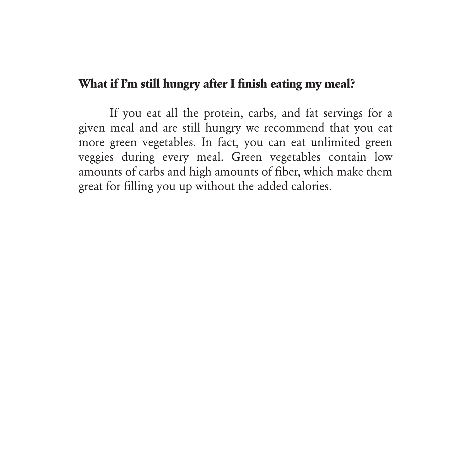#### **What if I'm still hungry after I finish eating my meal?**

If you eat all the protein, carbs, and fat servings for a given meal and are still hungry we recommend that you eat more green vegetables. In fact, you can eat unlimited green veggies during every meal. Green vegetables contain low amounts of carbs and high amounts of fiber, which make them great for filling you up without the added calories.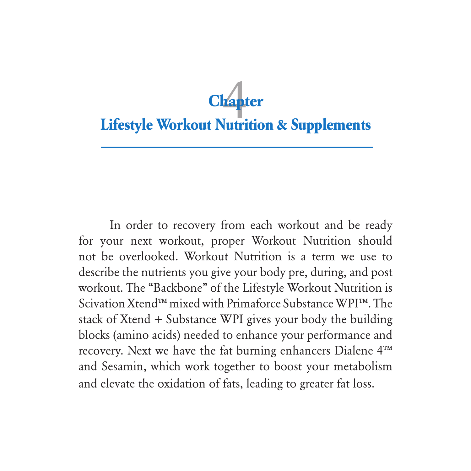# **Lifestyle Workout Nutrition & Supplements Chapter** 4

In order to recovery from each workout and be ready for your next workout, proper Workout Nutrition should not be overlooked. Workout Nutrition is a term we use to describe the nutrients you give your body pre, during, and post workout. The "Backbone" of the Lifestyle Workout Nutrition is Scivation Xtend™ mixed with Primaforce Substance WPI™. The stack of Xtend + Substance WPI gives your body the building blocks (amino acids) needed to enhance your performance and recovery. Next we have the fat burning enhancers Dialene 4™ and Sesamin, which work together to boost your metabolism and elevate the oxidation of fats, leading to greater fat loss.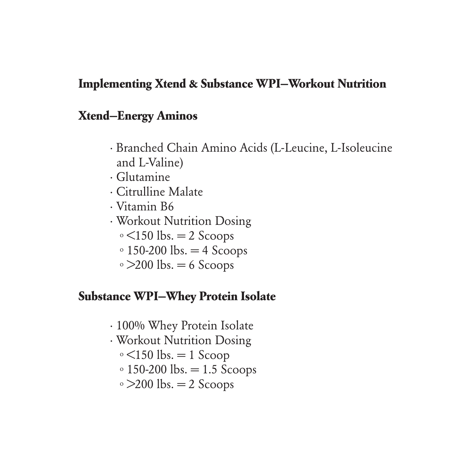#### **Implementing Xtend & Substance WPI—Workout Nutrition**

#### **Xtend—Energy Aminos**

- · Branched Chain Amino Acids (L-Leucine, L-Isoleucine and L-Valine)
- · Glutamine
- · Citrulline Malate
- · Vitamin B6
- · Workout Nutrition Dosing
	- $\circ$  <150 lbs. = 2 Scoops
	- $\circ$  150-200 lbs.  $=$  4 Scoops
	- $\circ$  >200 lbs. = 6 Scoops

#### **Substance WPI—Whey Protein Isolate**

- · 100% Whey Protein Isolate
- · Workout Nutrition Dosing
	- $\circ$  <150 lbs. = 1 Scoop
	- $\circ$  150-200 lbs. = 1.5 Scoops
	- $\degree$  >200 lbs. = 2 Scoops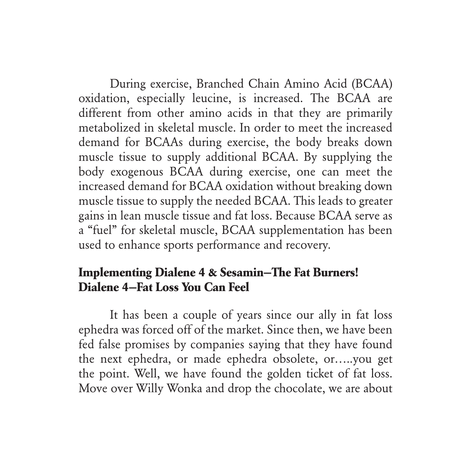During exercise, Branched Chain Amino Acid (BCAA) oxidation, especially leucine, is increased. The BCAA are different from other amino acids in that they are primarily metabolized in skeletal muscle. In order to meet the increased demand for BCAAs during exercise, the body breaks down muscle tissue to supply additional BCAA. By supplying the body exogenous BCAA during exercise, one can meet the increased demand for BCAA oxidation without breaking down muscle tissue to supply the needed BCAA. This leads to greater gains in lean muscle tissue and fat loss. Because BCAA serve as a "fuel" for skeletal muscle, BCAA supplementation has been used to enhance sports performance and recovery.

# **Implementing Dialene 4 & Sesamin—The Fat Burners! Dialene 4—Fat Loss You Can Feel**

It has been a couple of years since our ally in fat loss ephedra was forced off of the market. Since then, we have been fed false promises by companies saying that they have found the next ephedra, or made ephedra obsolete, or…..you get the point. Well, we have found the golden ticket of fat loss. Move over Willy Wonka and drop the chocolate, we are about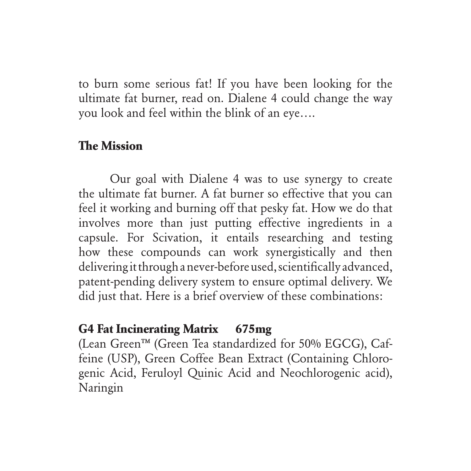to burn some serious fat! If you have been looking for the ultimate fat burner, read on. Dialene 4 could change the way you look and feel within the blink of an eye….

# **The Mission**

Our goal with Dialene 4 was to use synergy to create the ultimate fat burner. A fat burner so effective that you can feel it working and burning off that pesky fat. How we do that involves more than just putting effective ingredients in a capsule. For Scivation, it entails researching and testing how these compounds can work synergistically and then delivering it through a never-before used, scientifically advanced, patent-pending delivery system to ensure optimal delivery. We did just that. Here is a brief overview of these combinations:

# **G4 Fat Incinerating Matrix 675mg**

(Lean Green™ (Green Tea standardized for 50% EGCG), Caffeine (USP), Green Coffee Bean Extract (Containing Chlorogenic Acid, Feruloyl Quinic Acid and Neochlorogenic acid), Naringin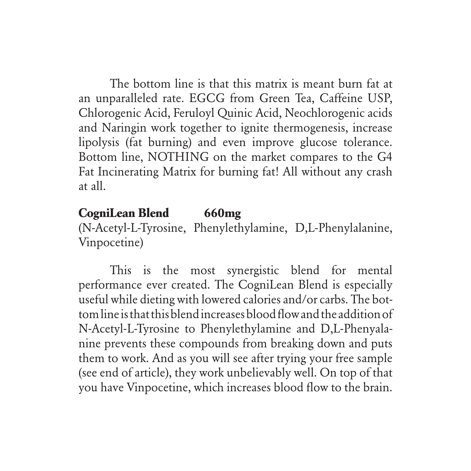The bottom line is that this matrix is meant burn fat at an unparalleled rate. EGCG from Green Tea, Caffeine USP, Chlorogenic Acid, Feruloyl Quinic Acid, Neochlorogenic acids and Naringin work together to ignite thermogenesis, increase lipolysis (fat burning) and even improve glucose tolerance. Bottom line, NOTHING on the market compares to the G4 Fat Incinerating Matrix for burning fat! All without any crash at all.

# **CogniLean Blend 660mg**

(N-Acetyl-L-Tyrosine, Phenylethylamine, D,L-Phenylalanine, Vinpocetine)

This is the most synergistic blend for mental performance ever created. The CogniLean Blend is especially useful while dieting with lowered calories and/or carbs. The bottom line is that this blend increases blood flow and the addition of N-Acetyl-L-Tyrosine to Phenylethylamine and D,L-Phenyalanine prevents these compounds from breaking down and puts them to work. And as you will see after trying your free sample (see end of article), they work unbelievably well. On top of that you have Vinpocetine, which increases blood flow to the brain.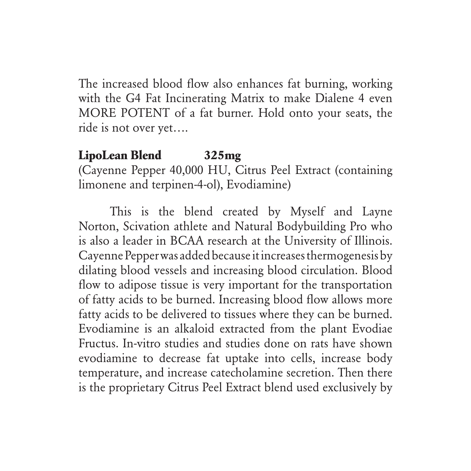The increased blood flow also enhances fat burning, working with the G4 Fat Incinerating Matrix to make Dialene 4 even MORE POTENT of a fat burner. Hold onto your seats, the ride is not over yet….

# **LipoLean Blend 325mg**

(Cayenne Pepper 40,000 HU, Citrus Peel Extract (containing limonene and terpinen-4-ol), Evodiamine)

This is the blend created by Myself and Layne Norton, Scivation athlete and Natural Bodybuilding Pro who is also a leader in BCAA research at the University of Illinois. Cayenne Pepper was added because it increases thermogenesis by dilating blood vessels and increasing blood circulation. Blood flow to adipose tissue is very important for the transportation of fatty acids to be burned. Increasing blood flow allows more fatty acids to be delivered to tissues where they can be burned. Evodiamine is an alkaloid extracted from the plant Evodiae Fructus. In-vitro studies and studies done on rats have shown evodiamine to decrease fat uptake into cells, increase body temperature, and increase catecholamine secretion. Then there is the proprietary Citrus Peel Extract blend used exclusively by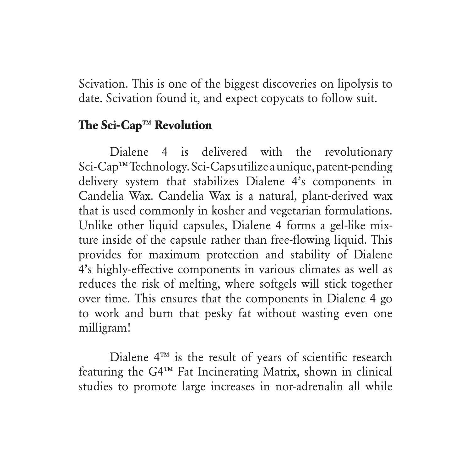Scivation. This is one of the biggest discoveries on lipolysis to date. Scivation found it, and expect copycats to follow suit.

### **The Sci-Cap™ Revolution**

Dialene 4 is delivered with the revolutionary Sci-Cap™ Technology. Sci-Caps utilize a unique, patent-pending delivery system that stabilizes Dialene 4's components in Candelia Wax. Candelia Wax is a natural, plant-derived wax that is used commonly in kosher and vegetarian formulations. Unlike other liquid capsules, Dialene 4 forms a gel-like mixture inside of the capsule rather than free-flowing liquid. This provides for maximum protection and stability of Dialene 4's highly-effective components in various climates as well as reduces the risk of melting, where softgels will stick together over time. This ensures that the components in Dialene 4 go to work and burn that pesky fat without wasting even one milligram!

Dialene 4™ is the result of years of scientific research featuring the G4™ Fat Incinerating Matrix, shown in clinical studies to promote large increases in nor-adrenalin all while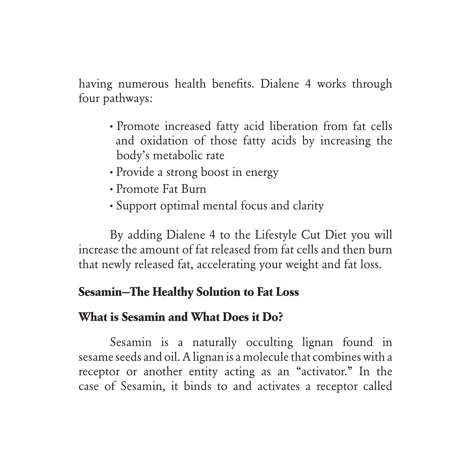having numerous health benefits. Dialene 4 works through four pathways:

- **·** Promote increased fatty acid liberation from fat cells and oxidation of those fatty acids by increasing the body's metabolic rate
- **·** Provide a strong boost in energy
- **·** Promote Fat Burn
- **·** Support optimal mental focus and clarity

By adding Dialene 4 to the Lifestyle Cut Diet you will increase the amount of fat released from fat cells and then burn that newly released fat, accelerating your weight and fat loss.

# **Sesamin—The Healthy Solution to Fat Loss**

#### **What is Sesamin and What Does it Do?**

Sesamin is a naturally occulting lignan found in sesame seeds and oil. A lignan is a molecule that combines with a receptor or another entity acting as an "activator." In the case of Sesamin, it binds to and activates a receptor called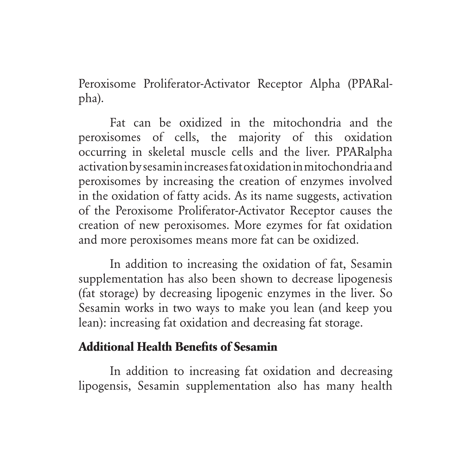Peroxisome Proliferator-Activator Receptor Alpha (PPARalpha).

Fat can be oxidized in the mitochondria and the peroxisomes of cells, the majority of this oxidation occurring in skeletal muscle cells and the liver. PPARalpha activation by sesamin increases fat oxidation in mitochondria and peroxisomes by increasing the creation of enzymes involved in the oxidation of fatty acids. As its name suggests, activation of the Peroxisome Proliferator-Activator Receptor causes the creation of new peroxisomes. More ezymes for fat oxidation and more peroxisomes means more fat can be oxidized.

In addition to increasing the oxidation of fat, Sesamin supplementation has also been shown to decrease lipogenesis (fat storage) by decreasing lipogenic enzymes in the liver. So Sesamin works in two ways to make you lean (and keep you lean): increasing fat oxidation and decreasing fat storage.

# **Additional Health Benefits of Sesamin**

In addition to increasing fat oxidation and decreasing lipogensis, Sesamin supplementation also has many health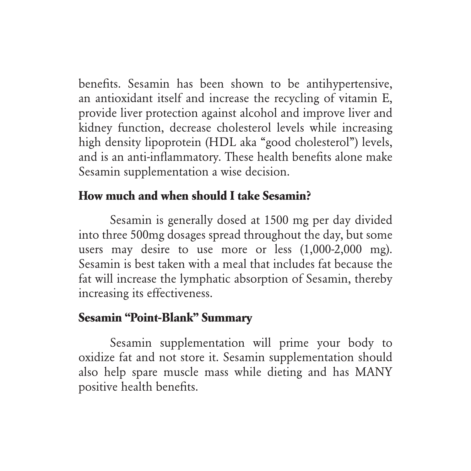benefits. Sesamin has been shown to be antihypertensive, an antioxidant itself and increase the recycling of vitamin E, provide liver protection against alcohol and improve liver and kidney function, decrease cholesterol levels while increasing high density lipoprotein (HDL aka "good cholesterol") levels, and is an anti-inflammatory. These health benefits alone make Sesamin supplementation a wise decision.

# **How much and when should I take Sesamin?**

Sesamin is generally dosed at 1500 mg per day divided into three 500mg dosages spread throughout the day, but some users may desire to use more or less (1,000-2,000 mg). Sesamin is best taken with a meal that includes fat because the fat will increase the lymphatic absorption of Sesamin, thereby increasing its effectiveness.

#### **Sesamin "Point-Blank" Summary**

Sesamin supplementation will prime your body to oxidize fat and not store it. Sesamin supplementation should also help spare muscle mass while dieting and has MANY positive health benefits.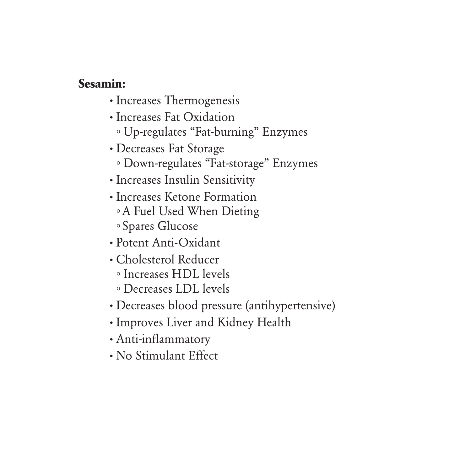#### **Sesamin:**

- **·** Increases Thermogenesis
- **·** Increases Fat Oxidation o Up-regulates "Fat-burning" Enzymes
- **·** Decreases Fat Storage o Down-regulates "Fat-storage" Enzymes
- **·** Increases Insulin Sensitivity
- **·** Increases Ketone Formation o A Fuel Used When Dieting o Spares Glucose
- **·** Potent Anti-Oxidant
- **·** Cholesterol Reducer o Increases HDL levels
	- o Decreases LDL levels
- **·** Decreases blood pressure (antihypertensive)
- **·** Improves Liver and Kidney Health
- **·** Anti-inflammatory
- **·** No Stimulant Effect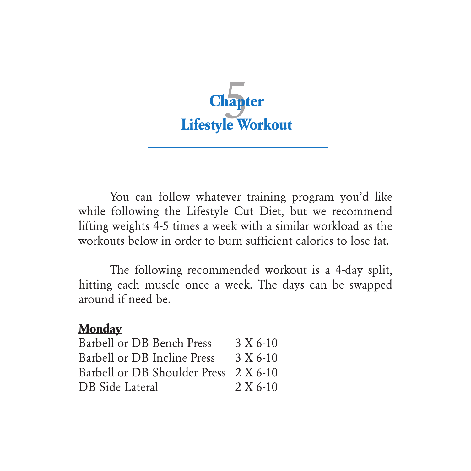

You can follow whatever training program you'd like while following the Lifestyle Cut Diet, but we recommend lifting weights 4-5 times a week with a similar workload as the workouts below in order to burn sufficient calories to lose fat.

The following recommended workout is a 4-day split, hitting each muscle once a week. The days can be swapped around if need be.

#### **Monday**

| Barbell or DB Bench Press             | $3 X 6-10$ |
|---------------------------------------|------------|
| Barbell or DB Incline Press           | $3 X 6-10$ |
| Barbell or DB Shoulder Press 2 X 6-10 |            |
| DB Side Lateral                       | $2 X 6-10$ |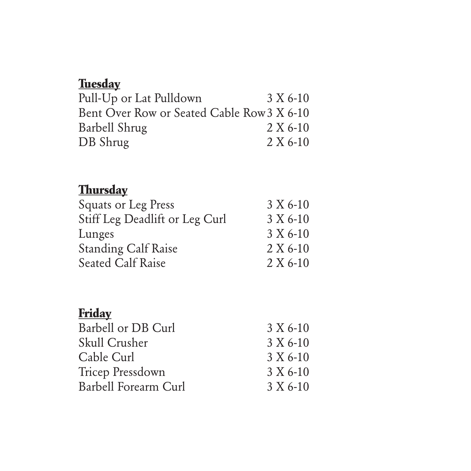# **Tuesday**

|  | 3 X 6-10                                   |
|--|--------------------------------------------|
|  | Bent Over Row or Seated Cable Row 3 X 6-10 |
|  | $2 X 6-10$                                 |
|  | $2 X 6-10$                                 |
|  |                                            |

# **Thursday**

| Squats or Leg Press            | 3 X 6-10   |
|--------------------------------|------------|
| Stiff Leg Deadlift or Leg Curl | 3 X 6-10   |
| Lunges                         | 3 X 6-10   |
| <b>Standing Calf Raise</b>     | $2 X 6-10$ |
| <b>Seated Calf Raise</b>       | $2 X 6-10$ |

# **Friday**

| Barbell or DB Curl   | 3 X 6-10   |
|----------------------|------------|
| Skull Crusher        | 3 X 6-10   |
| Cable Curl           | 3 X 6-10   |
| Tricep Pressdown     | 3 X 6-10   |
| Barbell Forearm Curl | $3 X 6-10$ |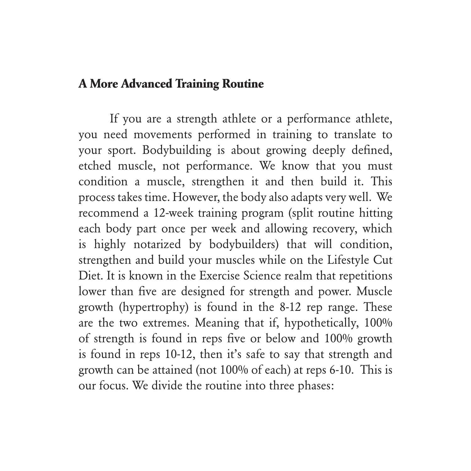#### **A More Advanced Training Routine**

If you are a strength athlete or a performance athlete, you need movements performed in training to translate to your sport. Bodybuilding is about growing deeply defined, etched muscle, not performance. We know that you must condition a muscle, strengthen it and then build it. This process takes time. However, the body also adapts very well. We recommend a 12-week training program (split routine hitting each body part once per week and allowing recovery, which is highly notarized by bodybuilders) that will condition, strengthen and build your muscles while on the Lifestyle Cut Diet. It is known in the Exercise Science realm that repetitions lower than five are designed for strength and power. Muscle growth (hypertrophy) is found in the 8-12 rep range. These are the two extremes. Meaning that if, hypothetically, 100% of strength is found in reps five or below and 100% growth is found in reps 10-12, then it's safe to say that strength and growth can be attained (not 100% of each) at reps 6-10. This is our focus. We divide the routine into three phases: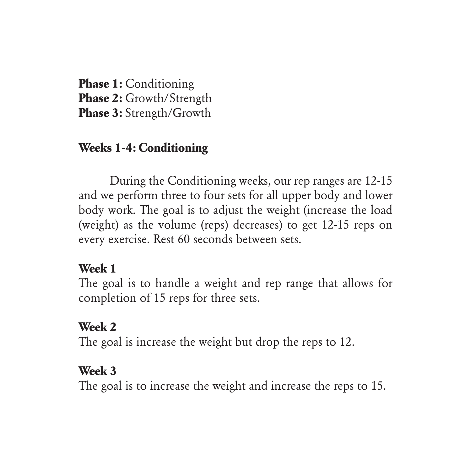**Phase 1:** Conditioning **Phase 2:** Growth/Strength **Phase 3:** Strength/Growth

# **Weeks 1-4: Conditioning**

During the Conditioning weeks, our rep ranges are 12-15 and we perform three to four sets for all upper body and lower body work. The goal is to adjust the weight (increase the load (weight) as the volume (reps) decreases) to get 12-15 reps on every exercise. Rest 60 seconds between sets.

# **Week 1**

The goal is to handle a weight and rep range that allows for completion of 15 reps for three sets.

# **Week 2**

The goal is increase the weight but drop the reps to 12.

#### **Week 3**

The goal is to increase the weight and increase the reps to 15.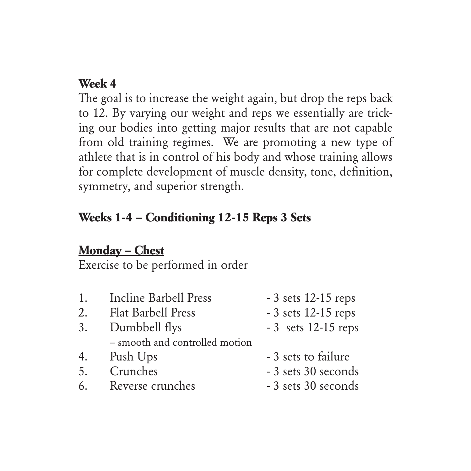# **Week 4**

The goal is to increase the weight again, but drop the reps back to 12. By varying our weight and reps we essentially are tricking our bodies into getting major results that are not capable from old training regimes. We are promoting a new type of athlete that is in control of his body and whose training allows for complete development of muscle density, tone, definition, symmetry, and superior strength.

### **Weeks 1-4 – Conditioning 12-15 Reps 3 Sets**

#### **Monday – Chest**

- 1. Incline Barbell Press 3 sets 12-15 reps 2. Flat Barbell Press - 3 sets 12-15 reps 3. Dumbbell flys - 3 sets 12-15 reps – smooth and controlled motion 4. Push Ups - 3 sets to failure 5. Crunches - 3 sets 30 seconds 6. Reverse crunches - 3 sets 30 seconds
	-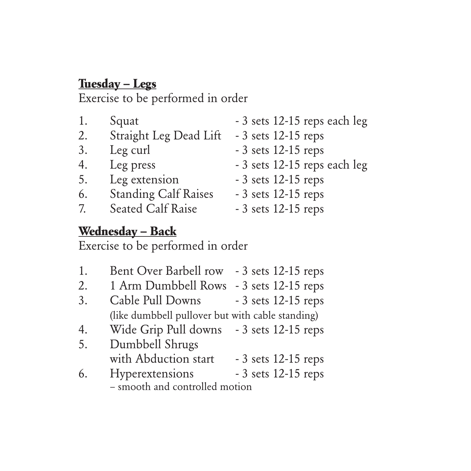# **Tuesday – Legs**

Exercise to be performed in order

| Squat                       | - 3 sets 12-15 reps each leg |
|-----------------------------|------------------------------|
| Straight Leg Dead Lift      | $-3$ sets 12-15 reps         |
| Leg curl                    | $-3$ sets 12-15 reps         |
| Leg press                   | - 3 sets 12-15 reps each leg |
| Leg extension               | $-3$ sets 12-15 reps         |
| <b>Standing Calf Raises</b> | $-3$ sets 12-15 reps         |
|                             | - 3 sets 12-15 reps          |
|                             | Seated Calf Raise            |

# **Wednesday – Back**

- 1. Bent Over Barbell row 3 sets 12-15 reps
- 2. 1 Arm Dumbbell Rows 3 sets 12-15 reps
- 3. Cable Pull Downs 3 sets 12-15 reps (like dumbbell pullover but with cable standing)
- 4. Wide Grip Pull downs 3 sets 12-15 reps
- 5. Dumbbell Shrugs with Abduction start - 3 sets 12-15 reps
- 6. Hyperextensions 3 sets 12-15 reps – smooth and controlled motion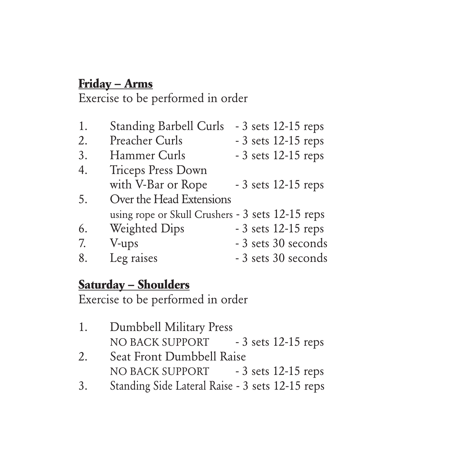# **Friday – Arms**

Exercise to be performed in order

| 1. | <b>Standing Barbell Curls</b>                    |  | $-3$ sets 12-15 reps |
|----|--------------------------------------------------|--|----------------------|
| 2. | <b>Preacher Curls</b>                            |  | - 3 sets 12-15 reps  |
| 3. | Hammer Curls                                     |  | - 3 sets 12-15 reps  |
| 4. | <b>Triceps Press Down</b>                        |  |                      |
|    | with V-Bar or Rope                               |  | $-3$ sets 12-15 reps |
| 5. | Over the Head Extensions                         |  |                      |
|    | using rope or Skull Crushers - 3 sets 12-15 reps |  |                      |
| 6. | <b>Weighted Dips</b>                             |  | $-3$ sets 12-15 reps |
| 7. | V-ups                                            |  | - 3 sets 30 seconds  |
| 8. | Leg raises                                       |  | - 3 sets 30 seconds  |
|    |                                                  |  |                      |

# **Saturday – Shoulders**

- 1. Dumbbell Military Press NO BACK SUPPORT - 3 sets 12-15 reps
- 2. Seat Front Dumbbell Raise NO BACK SUPPORT - 3 sets 12-15 reps
- 3. Standing Side Lateral Raise 3 sets 12-15 reps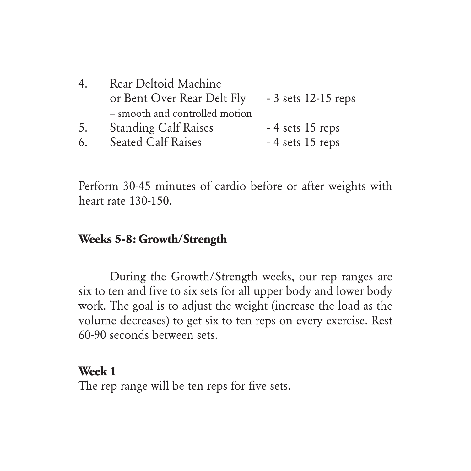| 4. | Rear Deltoid Machine           |                      |  |  |
|----|--------------------------------|----------------------|--|--|
|    | or Bent Over Rear Delt Fly     | $-3$ sets 12-15 reps |  |  |
|    | - smooth and controlled motion |                      |  |  |
| 5. | <b>Standing Calf Raises</b>    | -4 sets 15 reps      |  |  |
| 6. | <b>Seated Calf Raises</b>      | $-4$ sets 15 reps    |  |  |

Perform 30-45 minutes of cardio before or after weights with heart rate 130-150.

#### **Weeks 5-8: Growth/Strength**

During the Growth/Strength weeks, our rep ranges are six to ten and five to six sets for all upper body and lower body work. The goal is to adjust the weight (increase the load as the volume decreases) to get six to ten reps on every exercise. Rest 60-90 seconds between sets.

#### **Week 1**

The rep range will be ten reps for five sets.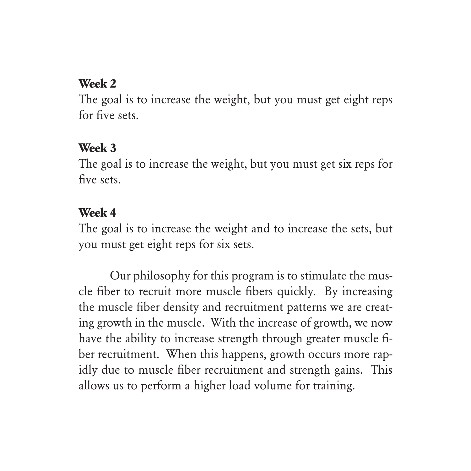#### **Week 2**

The goal is to increase the weight, but you must get eight reps for five sets.

#### **Week 3**

The goal is to increase the weight, but you must get six reps for five sets.

#### **Week 4**

The goal is to increase the weight and to increase the sets, but you must get eight reps for six sets.

Our philosophy for this program is to stimulate the muscle fiber to recruit more muscle fibers quickly. By increasing the muscle fiber density and recruitment patterns we are creating growth in the muscle. With the increase of growth, we now have the ability to increase strength through greater muscle fiber recruitment. When this happens, growth occurs more rapidly due to muscle fiber recruitment and strength gains. This allows us to perform a higher load volume for training.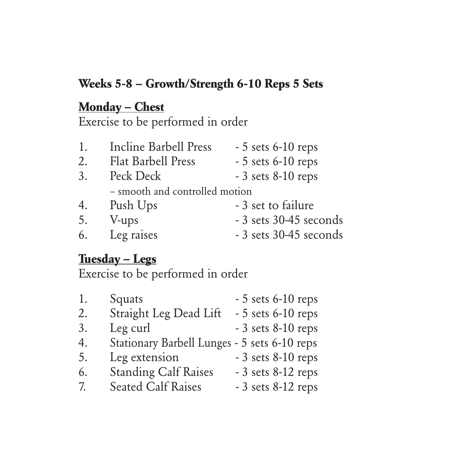# **Weeks 5-8 – Growth/Strength 6-10 Reps 5 Sets**

# **Monday – Chest**

Exercise to be performed in order

| 1. | Incline Barbell Press          | $-5$ sets 6-10 reps    |
|----|--------------------------------|------------------------|
| 2. | <b>Flat Barbell Press</b>      | $-5$ sets 6-10 reps    |
| 3. | Peck Deck                      | $-3$ sets $8-10$ reps  |
|    | - smooth and controlled motion |                        |
| 4. | Push Ups                       | - 3 set to failure     |
| 5. | V-ups                          | - 3 sets 30-45 seconds |
| 6. | Leg raises                     | - 3 sets 30-45 seconds |

#### **Tuesday – Legs**

| 1. | Squats                                       |  | $-5$ sets 6-10 reps   |
|----|----------------------------------------------|--|-----------------------|
| 2. | Straight Leg Dead Lift                       |  | $-5$ sets 6-10 reps   |
| 3. | Leg curl                                     |  | $-3$ sets $8-10$ reps |
| 4. | Stationary Barbell Lunges - 5 sets 6-10 reps |  |                       |
| 5. | Leg extension                                |  | $-3$ sets $8-10$ reps |
| 6. | <b>Standing Calf Raises</b>                  |  | $-3$ sets 8-12 reps   |
| 7. | <b>Seated Calf Raises</b>                    |  | $-3$ sets 8-12 reps   |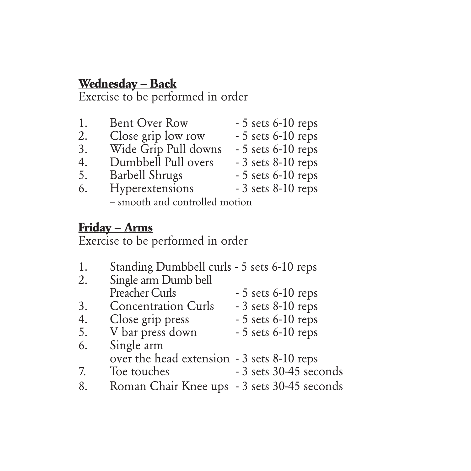# **Wednesday – Back**

Exercise to be performed in order

| 1. | <b>Bent Over Row</b>           | $-5$ sets 6-10 reps |
|----|--------------------------------|---------------------|
| 2. | Close grip low row             | $-5$ sets 6-10 reps |
| 3. | Wide Grip Pull downs           | $-5$ sets 6-10 reps |
| 4. | Dumbbell Pull overs            | $-3$ sets 8-10 reps |
| 5. | <b>Barbell Shrugs</b>          | $-5$ sets 6-10 reps |
| 6. | Hyperextensions                | $-3$ sets 8-10 reps |
|    | - smooth and controlled motion |                     |

### **Friday – Arms**

| 1. | Standing Dumbbell curls - 5 sets 6-10 reps  |                        |
|----|---------------------------------------------|------------------------|
| 2. | Single arm Dumb bell                        |                        |
|    | <b>Preacher Curls</b>                       | $-5$ sets 6-10 reps    |
| 3. | <b>Concentration Curls</b>                  | $-3$ sets $8-10$ reps  |
| 4. | Close grip press                            | $-5$ sets 6-10 reps    |
| 5. | V bar press down                            | $-5$ sets 6-10 reps    |
| 6. | Single arm                                  |                        |
|    | over the head extension - 3 sets 8-10 reps  |                        |
| 7. | Toe touches                                 | - 3 sets 30-45 seconds |
| 8. | Roman Chair Knee ups - 3 sets 30-45 seconds |                        |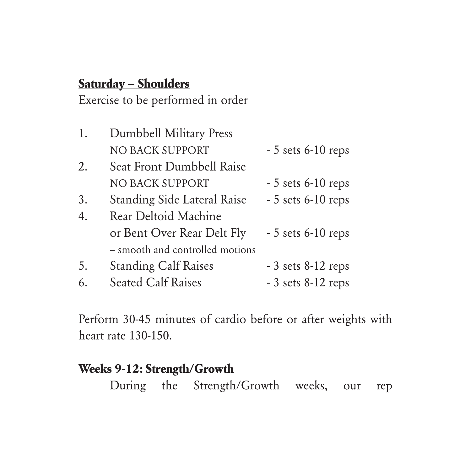# **Saturday – Shoulders**

Exercise to be performed in order

| 1.               | Dumbbell Military Press         |                     |
|------------------|---------------------------------|---------------------|
|                  | NO BACK SUPPORT                 | $-5$ sets 6-10 reps |
| 2.               | Seat Front Dumbbell Raise       |                     |
|                  | NO BACK SUPPORT                 | $-5$ sets 6-10 reps |
| 3.               | Standing Side Lateral Raise     | $-5$ sets 6-10 reps |
| $\overline{4}$ . | Rear Deltoid Machine            |                     |
|                  | or Bent Over Rear Delt Fly      | $-5$ sets 6-10 reps |
|                  | - smooth and controlled motions |                     |
| 5.               | <b>Standing Calf Raises</b>     | $-3$ sets 8-12 reps |
| 6.               | <b>Seated Calf Raises</b>       | $-3$ sets 8-12 reps |

Perform 30-45 minutes of cardio before or after weights with heart rate 130-150.

# **Weeks 9-12: Strength/Growth**  During the Strength/Growth weeks, our rep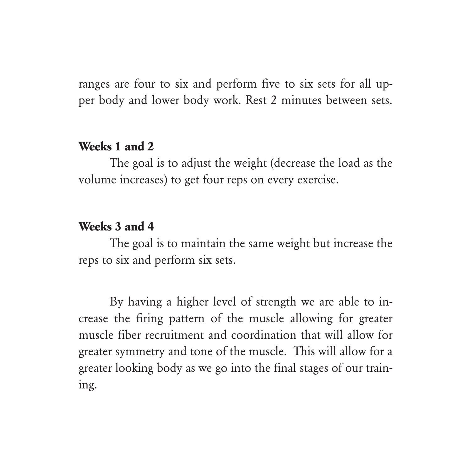ranges are four to six and perform five to six sets for all upper body and lower body work. Rest 2 minutes between sets.

### **Weeks 1 and 2**

The goal is to adjust the weight (decrease the load as the volume increases) to get four reps on every exercise.

#### **Weeks 3 and 4**

The goal is to maintain the same weight but increase the reps to six and perform six sets.

By having a higher level of strength we are able to increase the firing pattern of the muscle allowing for greater muscle fiber recruitment and coordination that will allow for greater symmetry and tone of the muscle. This will allow for a greater looking body as we go into the final stages of our training.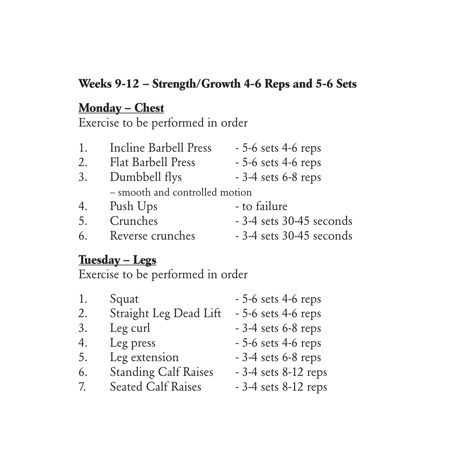# **Weeks 9-12 – Strength/Growth 4-6 Reps and 5-6 Sets**

#### **Monday – Chest**

Exercise to be performed in order

| 1. | Incline Barbell Press          | $-5$ -6 sets 4-6 reps     |
|----|--------------------------------|---------------------------|
| 2. | Flat Barbell Press             | $-5$ -6 sets 4-6 reps     |
| 3. | Dumbbell flys                  | $-3-4$ sets 6-8 reps      |
|    | - smooth and controlled motion |                           |
| 4. | Push Ups                       | - to failure              |
| 5. | Crunches                       | $-3-4$ sets 30-45 seconds |
| 6. | Reverse crunches               | $-3-4$ sets 30-45 seconds |

#### **Tuesday – Legs**

| 1. | Squat                       | $-5$ -6 sets 4-6 reps   |
|----|-----------------------------|-------------------------|
| 2. | Straight Leg Dead Lift      | $-5$ -6 sets 4-6 reps   |
| 3. | Leg curl                    | $-3-4$ sets 6-8 reps    |
| 4. | Leg press                   | $-5$ -6 sets 4-6 reps   |
| 5. | Leg extension               | $-3-4$ sets 6-8 reps    |
| 6. | <b>Standing Calf Raises</b> | $-3-4$ sets $8-12$ reps |
| 7. | <b>Seated Calf Raises</b>   | - 3-4 sets 8-12 reps    |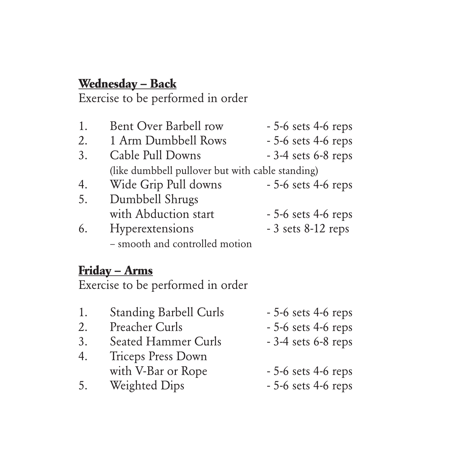## **Wednesday – Back**

Exercise to be performed in order

| 1. | Bent Over Barbell row                            | $-5$ -6 sets 4-6 reps |  |
|----|--------------------------------------------------|-----------------------|--|
| 2. | 1 Arm Dumbbell Rows                              | $-5-6$ sets 4-6 reps  |  |
| 3. | Cable Pull Downs                                 | $-3-4$ sets 6-8 reps  |  |
|    | (like dumbbell pullover but with cable standing) |                       |  |
| 4. | Wide Grip Pull downs                             | $-5$ -6 sets 4-6 reps |  |
| 5. | Dumbbell Shrugs                                  |                       |  |
|    | with Abduction start                             | $-5$ -6 sets 4-6 reps |  |
| 6. | Hyperextensions                                  | $-3$ sets 8-12 reps   |  |
|    | - smooth and controlled motion                   |                       |  |

#### **Friday – Arms**

Exercise to be performed in order

- 1. Standing Barbell Curls 5-6 sets 4-6 reps
- 2. Preacher Curls 5-6 sets 4-6 reps
- 3. Seated Hammer Curls 3-4 sets 6-8 reps
- 4. Triceps Press Down with V-Bar or Rope - 5-6 sets 4-6 reps
- 5. Weighted Dips 5-6 sets 4-6 reps
- -
	-
	-
	-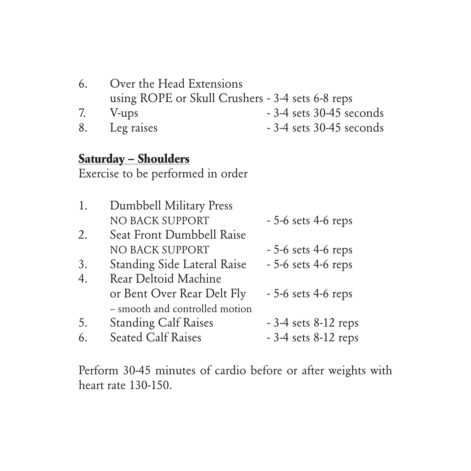| 6. | Over the Head Extensions                         |                           |
|----|--------------------------------------------------|---------------------------|
|    | using ROPE or Skull Crushers - 3-4 sets 6-8 reps |                           |
| 7. | V-ups                                            | $-3-4$ sets 30-45 seconds |
| 8. | Leg raises                                       | - 3-4 sets 30-45 seconds  |
|    | <u> Saturday – Shoulders</u>                     |                           |
|    | Exercise to be performed in order                |                           |
|    |                                                  |                           |
| 1. | Dumbbell Military Press                          |                           |
|    | <b>NO BACK SUPPORT</b>                           | $-5$ -6 sets 4-6 reps     |
| 2. | Seat Front Dumbbell Raise                        |                           |
|    | <b>NO BACK SUPPORT</b>                           | $-5-6$ sets 4-6 reps      |
| 3. | Standing Side Lateral Raise                      | $-5$ -6 sets 4-6 reps     |
| 4. | Rear Deltoid Machine                             |                           |
|    | or Bent Over Rear Delt Fly                       | $-5$ -6 sets 4-6 reps     |
|    | - smooth and controlled motion                   |                           |
| 5. | <b>Standing Calf Raises</b>                      | $-3-4$ sets $8-12$ reps   |

Perform 30-45 minutes of cardio before or after weights with heart rate 130-150.

6. Seated Calf Raises - 3-4 sets 8-12 reps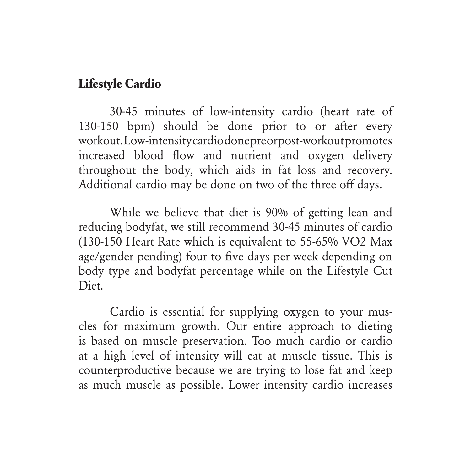#### **Lifestyle Cardio**

30-45 minutes of low-intensity cardio (heart rate of 130-150 bpm) should be done prior to or after every workout. Low-intensity cardio done pre or post-workout promotes increased blood flow and nutrient and oxygen delivery throughout the body, which aids in fat loss and recovery. Additional cardio may be done on two of the three off days.

While we believe that diet is 90% of getting lean and reducing bodyfat, we still recommend 30-45 minutes of cardio (130-150 Heart Rate which is equivalent to 55-65% VO2 Max age/gender pending) four to five days per week depending on body type and bodyfat percentage while on the Lifestyle Cut Diet.

Cardio is essential for supplying oxygen to your muscles for maximum growth. Our entire approach to dieting is based on muscle preservation. Too much cardio or cardio at a high level of intensity will eat at muscle tissue. This is counterproductive because we are trying to lose fat and keep as much muscle as possible. Lower intensity cardio increases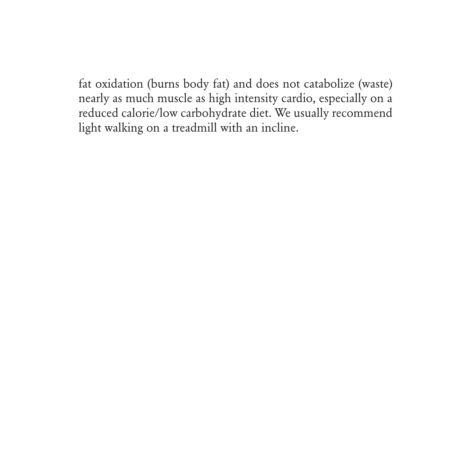fat oxidation (burns body fat) and does not catabolize (waste) nearly as much muscle as high intensity cardio, especially on a reduced calorie/low carbohydrate diet. We usually recommend light walking on a treadmill with an incline.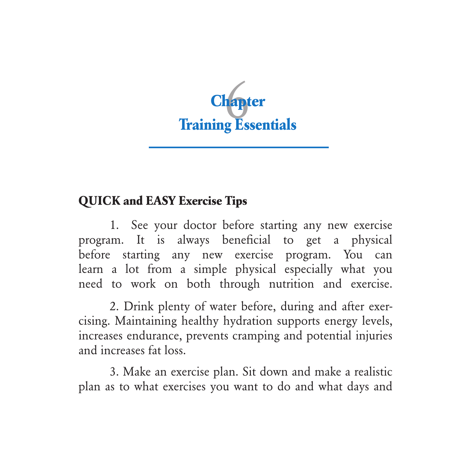

## **QUICK and EASY Exercise Tips**

1. See your doctor before starting any new exercise program. It is always beneficial to get a physical before starting any new exercise program. You can learn a lot from a simple physical especially what you need to work on both through nutrition and exercise.

2. Drink plenty of water before, during and after exercising. Maintaining healthy hydration supports energy levels, increases endurance, prevents cramping and potential injuries and increases fat loss.

3. Make an exercise plan. Sit down and make a realistic plan as to what exercises you want to do and what days and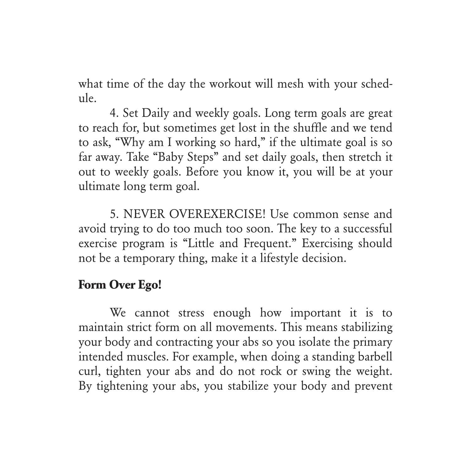what time of the day the workout will mesh with your schedule.

4. Set Daily and weekly goals. Long term goals are great to reach for, but sometimes get lost in the shuffle and we tend to ask, "Why am I working so hard," if the ultimate goal is so far away. Take "Baby Steps" and set daily goals, then stretch it out to weekly goals. Before you know it, you will be at your ultimate long term goal.

5. NEVER OVEREXERCISE! Use common sense and avoid trying to do too much too soon. The key to a successful exercise program is "Little and Frequent." Exercising should not be a temporary thing, make it a lifestyle decision.

#### **Form Over Ego!**

We cannot stress enough how important it is to maintain strict form on all movements. This means stabilizing your body and contracting your abs so you isolate the primary intended muscles. For example, when doing a standing barbell curl, tighten your abs and do not rock or swing the weight. By tightening your abs, you stabilize your body and prevent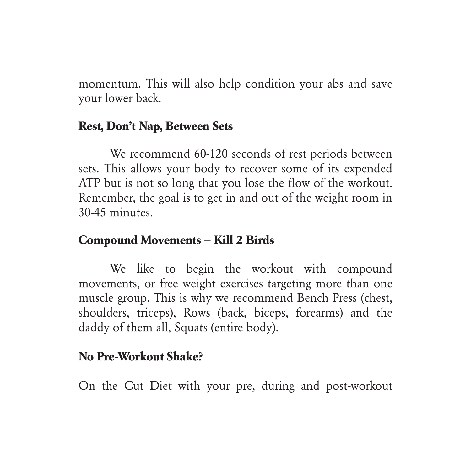momentum. This will also help condition your abs and save your lower back.

#### **Rest, Don't Nap, Between Sets**

We recommend 60-120 seconds of rest periods between sets. This allows your body to recover some of its expended ATP but is not so long that you lose the flow of the workout. Remember, the goal is to get in and out of the weight room in 30-45 minutes.

#### **Compound Movements – Kill 2 Birds**

We like to begin the workout with compound movements, or free weight exercises targeting more than one muscle group. This is why we recommend Bench Press (chest, shoulders, triceps), Rows (back, biceps, forearms) and the daddy of them all, Squats (entire body).

#### **No Pre-Workout Shake?**

On the Cut Diet with your pre, during and post-workout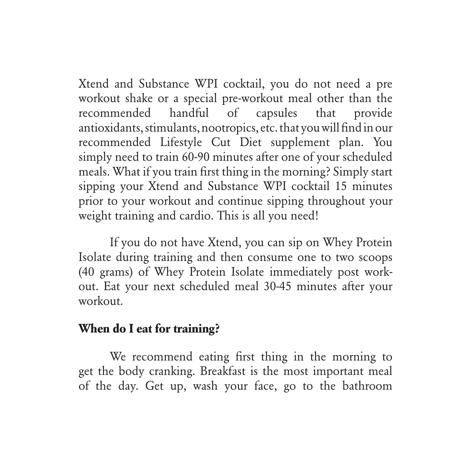Xtend and Substance WPI cocktail, you do not need a pre workout shake or a special pre-workout meal other than the recommended handful of capsules that provide antioxidants, stimulants, nootropics, etc. that you will find in our recommended Lifestyle Cut Diet supplement plan. You simply need to train 60-90 minutes after one of your scheduled meals. What if you train first thing in the morning? Simply start sipping your Xtend and Substance WPI cocktail 15 minutes prior to your workout and continue sipping throughout your weight training and cardio. This is all you need!

If you do not have Xtend, you can sip on Whey Protein Isolate during training and then consume one to two scoops (40 grams) of Whey Protein Isolate immediately post workout. Eat your next scheduled meal 30-45 minutes after your workout.

#### **When do I eat for training?**

We recommend eating first thing in the morning to get the body cranking. Breakfast is the most important meal of the day. Get up, wash your face, go to the bathroom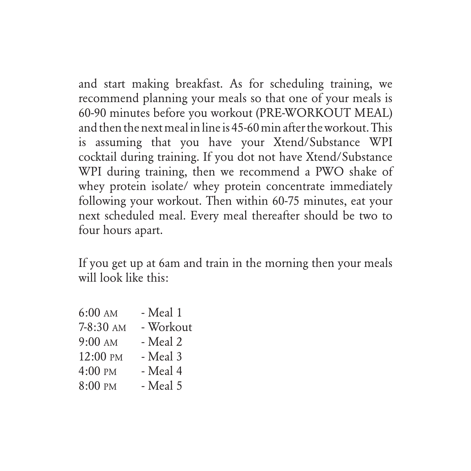and start making breakfast. As for scheduling training, we recommend planning your meals so that one of your meals is 60-90 minutes before you workout (PRE-WORKOUT MEAL) and then the next meal in line is 45-60 min after the workout. This is assuming that you have your Xtend/Substance WPI cocktail during training. If you dot not have Xtend/Substance WPI during training, then we recommend a PWO shake of whey protein isolate/ whey protein concentrate immediately following your workout. Then within 60-75 minutes, eat your next scheduled meal. Every meal thereafter should be two to four hours apart.

If you get up at 6am and train in the morning then your meals will look like this:

| $6:00 \text{ AM}$ | - Meal 1  |
|-------------------|-----------|
| 7-8:30 AM         | - Workout |
| $9:00$ AM         | - Meal 2  |
| 12:00 PM          | - Meal 3  |
| $4:00 \text{ PM}$ | - Meal 4  |
| 8:00 PM           | - Meal 5  |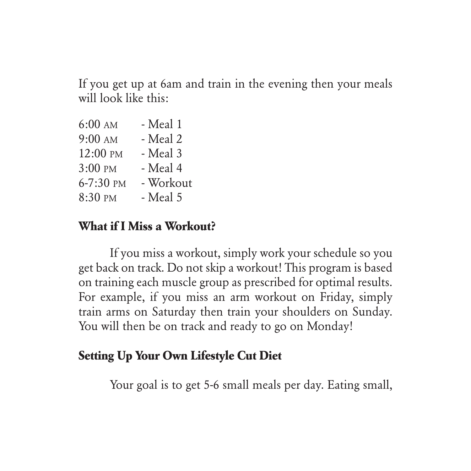If you get up at 6am and train in the evening then your meals will look like this:

| $6:00 \text{ AM}$ | - Meal 1  |
|-------------------|-----------|
| $9:00$ AM         | - Meal 2  |
| 12:00 PM          | - Meal 3  |
| $3:00$ PM         | - Meal 4  |
| 6-7:30 PM         | - Workout |
| 8:30 PM           | - Meal 5  |

#### **What if I Miss a Workout?**

If you miss a workout, simply work your schedule so you get back on track. Do not skip a workout! This program is based on training each muscle group as prescribed for optimal results. For example, if you miss an arm workout on Friday, simply train arms on Saturday then train your shoulders on Sunday. You will then be on track and ready to go on Monday!

#### **Setting Up Your Own Lifestyle Cut Diet**

Your goal is to get 5-6 small meals per day. Eating small,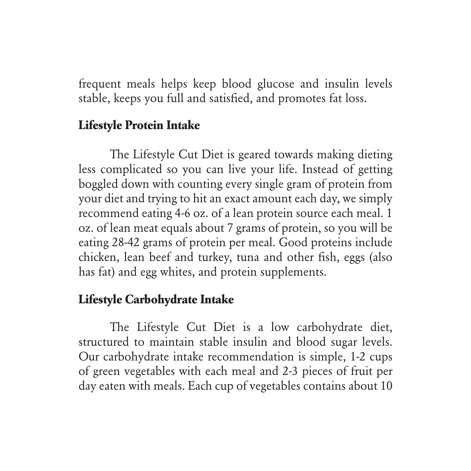frequent meals helps keep blood glucose and insulin levels stable, keeps you full and satisfied, and promotes fat loss.

#### **Lifestyle Protein Intake**

The Lifestyle Cut Diet is geared towards making dieting less complicated so you can live your life. Instead of getting boggled down with counting every single gram of protein from your diet and trying to hit an exact amount each day, we simply recommend eating 4-6 oz. of a lean protein source each meal. 1 oz. of lean meat equals about 7 grams of protein, so you will be eating 28-42 grams of protein per meal. Good proteins include chicken, lean beef and turkey, tuna and other fish, eggs (also has fat) and egg whites, and protein supplements.

#### **Lifestyle Carbohydrate Intake**

The Lifestyle Cut Diet is a low carbohydrate diet, structured to maintain stable insulin and blood sugar levels. Our carbohydrate intake recommendation is simple, 1-2 cups of green vegetables with each meal and 2-3 pieces of fruit per day eaten with meals. Each cup of vegetables contains about 10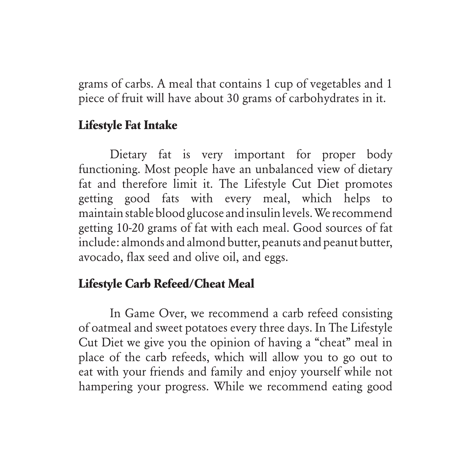grams of carbs. A meal that contains 1 cup of vegetables and 1 piece of fruit will have about 30 grams of carbohydrates in it.

#### **Lifestyle Fat Intake**

Dietary fat is very important for proper body functioning. Most people have an unbalanced view of dietary fat and therefore limit it. The Lifestyle Cut Diet promotes getting good fats with every meal, which helps to maintain stable blood glucose and insulin levels. We recommend getting 10-20 grams of fat with each meal. Good sources of fat include: almonds and almond butter, peanuts and peanut butter, avocado, flax seed and olive oil, and eggs.

## **Lifestyle Carb Refeed/Cheat Meal**

In Game Over, we recommend a carb refeed consisting of oatmeal and sweet potatoes every three days. In The Lifestyle Cut Diet we give you the opinion of having a "cheat" meal in place of the carb refeeds, which will allow you to go out to eat with your friends and family and enjoy yourself while not hampering your progress. While we recommend eating good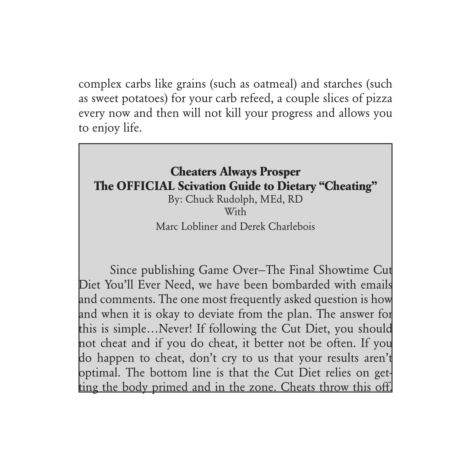complex carbs like grains (such as oatmeal) and starches (such as sweet potatoes) for your carb refeed, a couple slices of pizza every now and then will not kill your progress and allows you to enjoy life.

## **Cheaters Always Prosper The OFFICIAL Scivation Guide to Dietary "Cheating"**

By: Chuck Rudolph, MEd, RD With Marc Lobliner and Derek Charlebois

Since publishing Game Over—The Final Showtime Cut Diet You'll Ever Need, we have been bombarded with emails and comments. The one most frequently asked question is how and when it is okay to deviate from the plan. The answer for this is simple…Never! If following the Cut Diet, you should not cheat and if you do cheat, it better not be often. If you do happen to cheat, don't cry to us that your results aren't optimal. The bottom line is that the Cut Diet relies on getting the body primed and in the zone. Cheats throw this off.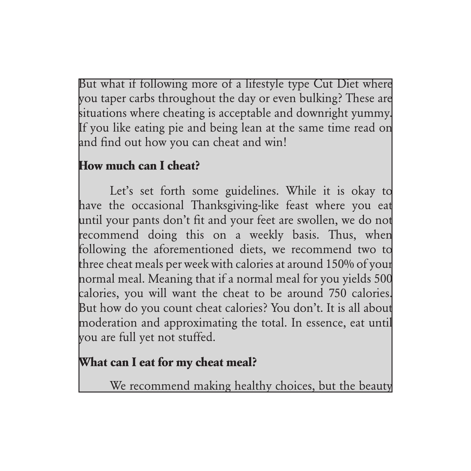But what if following more of a lifestyle type Cut Diet where you taper carbs throughout the day or even bulking? These are situations where cheating is acceptable and downright yummy. If you like eating pie and being lean at the same time read on and find out how you can cheat and win!

## **How much can I cheat?**

Let's set forth some guidelines. While it is okay to have the occasional Thanksgiving-like feast where you eat until your pants don't fit and your feet are swollen, we do not recommend doing this on a weekly basis. Thus, when following the aforementioned diets, we recommend two to three cheat meals per week with calories at around 150% of your normal meal. Meaning that if a normal meal for you yields 500 calories, you will want the cheat to be around 750 calories. But how do you count cheat calories? You don't. It is all about moderation and approximating the total. In essence, eat until you are full yet not stuffed.

## **What can I eat for my cheat meal?**

We recommend making healthy choices, but the beauty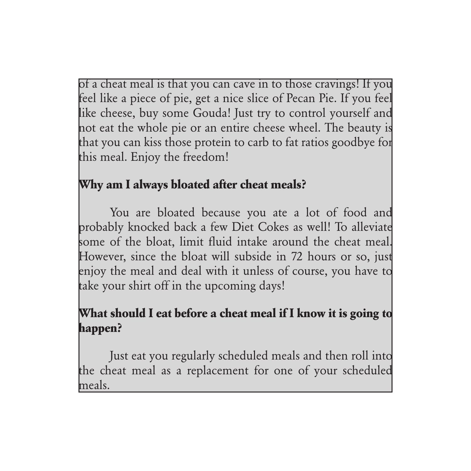of a cheat meal is that you can cave in to those cravings! If you feel like a piece of pie, get a nice slice of Pecan Pie. If you feel like cheese, buy some Gouda! Just try to control yourself and not eat the whole pie or an entire cheese wheel. The beauty is that you can kiss those protein to carb to fat ratios goodbye for this meal. Enjoy the freedom!

## **Why am I always bloated after cheat meals?**

You are bloated because you ate a lot of food and probably knocked back a few Diet Cokes as well! To alleviate some of the bloat, limit fluid intake around the cheat meal. However, since the bloat will subside in 72 hours or so, just enjoy the meal and deal with it unless of course, you have to take your shirt off in the upcoming days!

## **What should I eat before a cheat meal if I know it is going to happen?**

Just eat you regularly scheduled meals and then roll into the cheat meal as a replacement for one of your scheduled meals.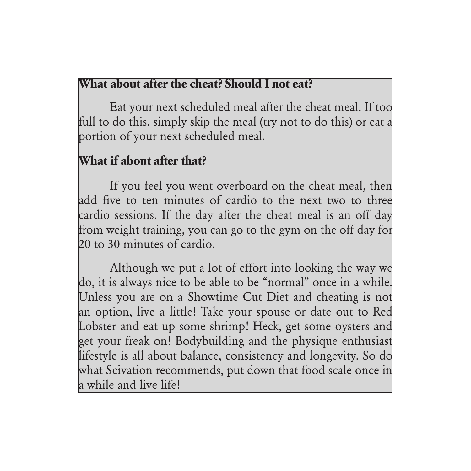#### **What about after the cheat? Should I not eat?**

Eat your next scheduled meal after the cheat meal. If too full to do this, simply skip the meal (try not to do this) or eat a portion of your next scheduled meal.

## **What if about after that?**

If you feel you went overboard on the cheat meal, then add five to ten minutes of cardio to the next two to three cardio sessions. If the day after the cheat meal is an off day from weight training, you can go to the gym on the off day for 20 to 30 minutes of cardio.

Although we put a lot of effort into looking the way we do, it is always nice to be able to be "normal" once in a while. Unless you are on a Showtime Cut Diet and cheating is not an option, live a little! Take your spouse or date out to Red Lobster and eat up some shrimp! Heck, get some oysters and get your freak on! Bodybuilding and the physique enthusiast lifestyle is all about balance, consistency and longevity. So do what Scivation recommends, put down that food scale once in a while and live life!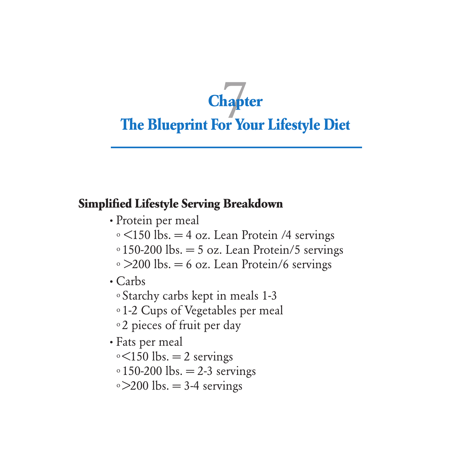# **The Blueprint For Your Lifestyle Diet Chapter**

#### **Simplified Lifestyle Serving Breakdown**

- **·** Protein per meal
	- $\circ$  <150 lbs. = 4 oz. Lean Protein /4 servings
	- $\circ$  150-200 lbs. = 5 oz. Lean Protein/5 servings
	- $\degree$  >200 lbs. = 6 oz. Lean Protein/6 servings
- **·** Carbs
	- o Starchy carbs kept in meals 1-3
	- o 1-2 Cups of Vegetables per meal
	- o 2 pieces of fruit per day
- **·** Fats per meal
	- $\circ$  <150 lbs. = 2 servings
	- $\circ$  150-200 lbs. = 2-3 servings
	- $\degree$  >200 lbs. = 3-4 servings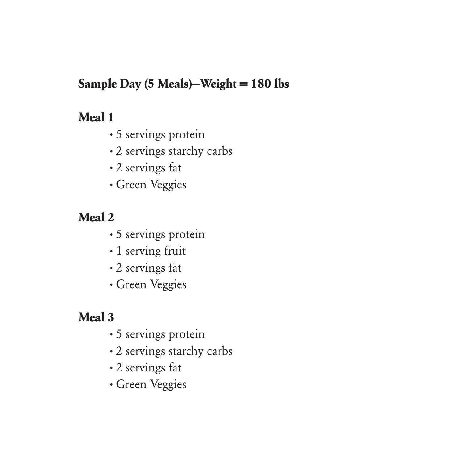## **Sample Day (5 Meals)—Weight = 180 lbs**

## **Meal 1**

- **·** 5 servings protein
- **·** 2 servings starchy carbs
- **·** 2 servings fat
- **·** Green Veggies

## **Meal 2**

- **·** 5 servings protein
- **·** 1 serving fruit
- **·** 2 servings fat
- **·** Green Veggies

## **Meal 3**

- **·** 5 servings protein
- **·** 2 servings starchy carbs
- **·** 2 servings fat
- **·** Green Veggies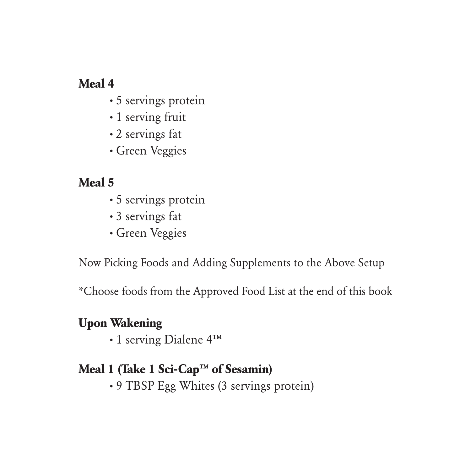## **Meal 4**

- **·** 5 servings protein
- **·** 1 serving fruit
- **·** 2 servings fat
- **·** Green Veggies

## **Meal 5**

- **·** 5 servings protein
- **·** 3 servings fat
- **·** Green Veggies

Now Picking Foods and Adding Supplements to the Above Setup

\*Choose foods from the Approved Food List at the end of this book

#### **Upon Wakening**

**·** 1 serving Dialene 4™

## **Meal 1 (Take 1 Sci-Cap™ of Sesamin)**

**·** 9 TBSP Egg Whites (3 servings protein)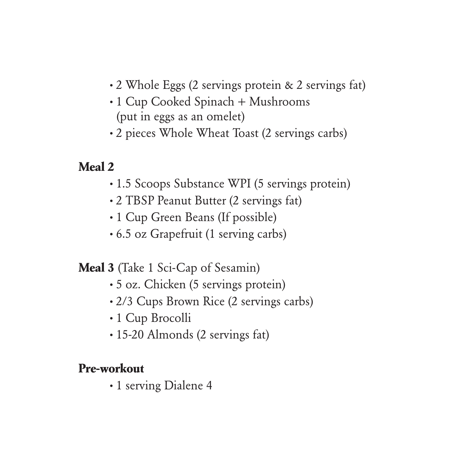- **·** 2 Whole Eggs (2 servings protein & 2 servings fat)
- **·** 1 Cup Cooked Spinach + Mushrooms (put in eggs as an omelet)
- **·** 2 pieces Whole Wheat Toast (2 servings carbs)

#### **Meal 2**

- **·** 1.5 Scoops Substance WPI (5 servings protein)
- **·** 2 TBSP Peanut Butter (2 servings fat)
- **·** 1 Cup Green Beans (If possible)
- **·** 6.5 oz Grapefruit (1 serving carbs)

#### **Meal 3** (Take 1 Sci-Cap of Sesamin)

- **·** 5 oz. Chicken (5 servings protein)
- **·** 2/3 Cups Brown Rice (2 servings carbs)
- **·** 1 Cup Brocolli
- **·** 15-20 Almonds (2 servings fat)

#### **Pre-workout**

**·** 1 serving Dialene 4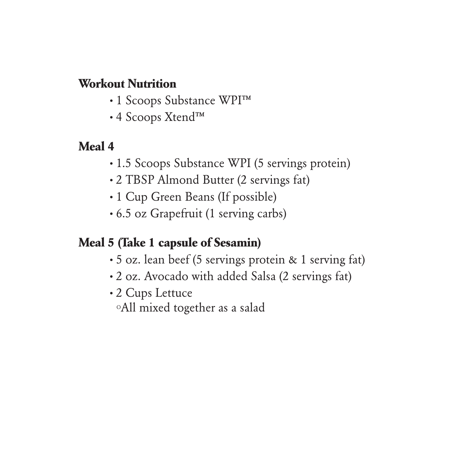#### **Workout Nutrition**

- **·** 1 Scoops Substance WPI™
- **·** 4 Scoops Xtend™

#### **Meal 4**

- **·** 1.5 Scoops Substance WPI (5 servings protein)
- **·** 2 TBSP Almond Butter (2 servings fat)
- **·** 1 Cup Green Beans (If possible)
- **·** 6.5 oz Grapefruit (1 serving carbs)

#### **Meal 5 (Take 1 capsule of Sesamin)**

- **·** 5 oz. lean beef (5 servings protein & 1 serving fat)
- **·** 2 oz. Avocado with added Salsa (2 servings fat)
- **·** 2 Cups Lettuce

oAll mixed together as a salad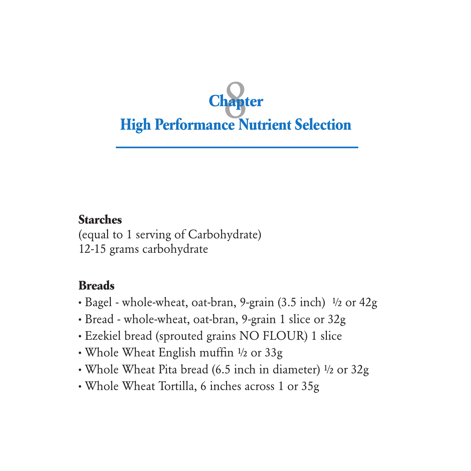

## **Starches**

(equal to 1 serving of Carbohydrate) 12-15 grams carbohydrate

## **Breads**

- **·** Bagel whole-wheat, oat-bran, 9-grain (3.5 inch) ½ or 42g
- **·** Bread whole-wheat, oat-bran, 9-grain 1 slice or 32g
- **·** Ezekiel bread (sprouted grains NO FLOUR) 1 slice
- **·** Whole Wheat English muffin ½ or 33g
- **·** Whole Wheat Pita bread (6.5 inch in diameter) ½ or 32g
- **·** Whole Wheat Tortilla, 6 inches across 1 or 35g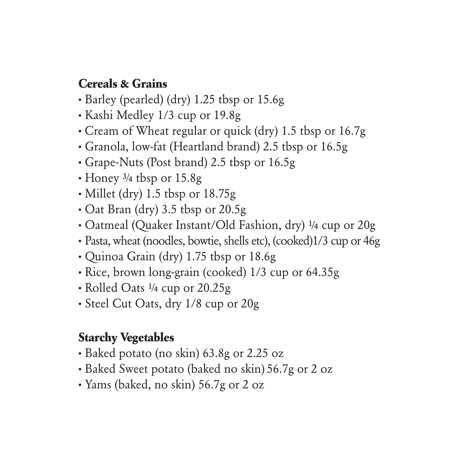#### **Cereals & Grains**

- **·** Barley (pearled) (dry) 1.25 tbsp or 15.6g
- **·** Kashi Medley 1/3 cup or 19.8g
- **·** Cream of Wheat regular or quick (dry) 1.5 tbsp or 16.7g
- **·** Granola, low-fat (Heartland brand) 2.5 tbsp or 16.5g
- **·** Grape-Nuts (Post brand) 2.5 tbsp or 16.5g
- **·** Honey ¾ tbsp or 15.8g
- **·** Millet (dry) 1.5 tbsp or 18.75g
- **·** Oat Bran (dry) 3.5 tbsp or 20.5g
- **·** Oatmeal (Quaker Instant/Old Fashion, dry) ¼ cup or 20g
- **·** Pasta, wheat (noodles, bowtie, shells etc), (cooked)1/3 cup or 46g
- **·** Quinoa Grain (dry) 1.75 tbsp or 18.6g
- **·** Rice, brown long-grain (cooked) 1/3 cup or 64.35g
- **·** Rolled Oats ¼ cup or 20.25g
- **·** Steel Cut Oats, dry 1/8 cup or 20g

#### **Starchy Vegetables**

- **·** Baked potato (no skin) 63.8g or 2.25 oz
- **·** Baked Sweet potato (baked no skin) 56.7g or 2 oz
- **·** Yams (baked, no skin) 56.7g or 2 oz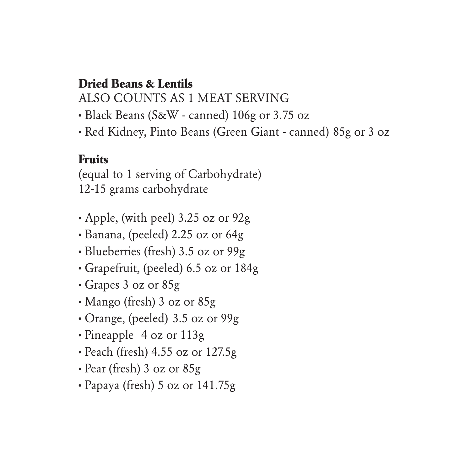#### **Dried Beans & Lentils**

ALSO COUNTS AS 1 MEAT SERVING

- **·** Black Beans (S&W canned) 106g or 3.75 oz
- **·** Red Kidney, Pinto Beans (Green Giant canned) 85g or 3 oz

## **Fruits**

(equal to 1 serving of Carbohydrate) 12-15 grams carbohydrate

- **·** Apple, (with peel) 3.25 oz or 92g
- **·** Banana, (peeled) 2.25 oz or 64g
- **·** Blueberries (fresh) 3.5 oz or 99g
- **·** Grapefruit, (peeled) 6.5 oz or 184g
- **·** Grapes 3 oz or 85g
- **·** Mango (fresh) 3 oz or 85g
- **·** Orange, (peeled) 3.5 oz or 99g
- **·** Pineapple 4 oz or 113g
- **·** Peach (fresh) 4.55 oz or 127.5g
- **·** Pear (fresh) 3 oz or 85g
- **·** Papaya (fresh) 5 oz or 141.75g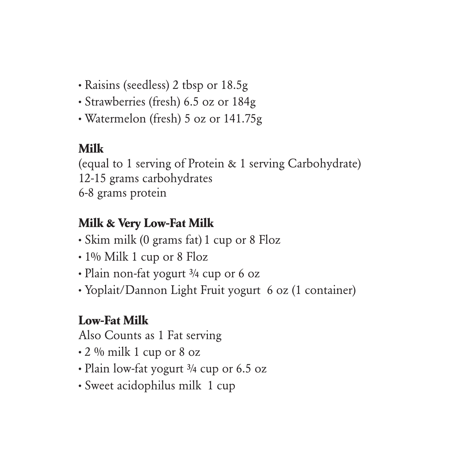- **·** Raisins (seedless) 2 tbsp or 18.5g
- **·** Strawberries (fresh) 6.5 oz or 184g
- **·** Watermelon (fresh) 5 oz or 141.75g

## **Milk**

(equal to 1 serving of Protein & 1 serving Carbohydrate) 12-15 grams carbohydrates 6-8 grams protein

## **Milk & Very Low-Fat Milk**

- **·** Skim milk (0 grams fat) 1 cup or 8 Floz
- **·** 1% Milk 1 cup or 8 Floz
- **·** Plain non-fat yogurt ¾ cup or 6 oz
- **·** Yoplait/Dannon Light Fruit yogurt 6 oz (1 container)

## **Low-Fat Milk**

Also Counts as 1 Fat serving

- **·** 2 % milk 1 cup or 8 oz
- **·** Plain low-fat yogurt ¾ cup or 6.5 oz
- **·** Sweet acidophilus milk 1 cup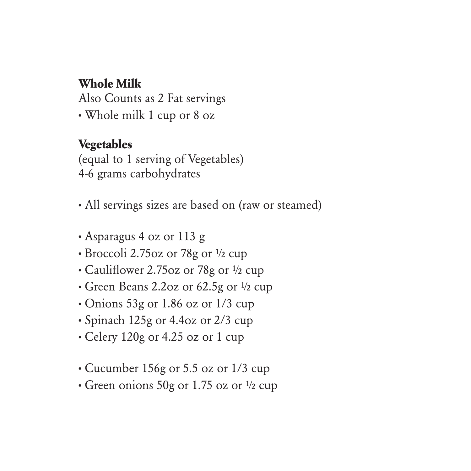#### **Whole Milk**

Also Counts as 2 Fat servings **·** Whole milk 1 cup or 8 oz

#### **Vegetables**

(equal to 1 serving of Vegetables) 4-6 grams carbohydrates

• All servings sizes are based on (raw or steamed)

- **·** Asparagus 4 oz or 113 g
- **·** Broccoli 2.75oz or 78g or ½ cup
- **·** Cauliflower 2.75oz or 78g or ½ cup
- **·** Green Beans 2.2oz or 62.5g or ½ cup
- **·** Onions 53g or 1.86 oz or 1/3 cup
- **·** Spinach 125g or 4.4oz or 2/3 cup
- **·** Celery 120g or 4.25 oz or 1 cup
- **·** Cucumber 156g or 5.5 oz or 1/3 cup
- **·** Green onions 50g or 1.75 oz or ½ cup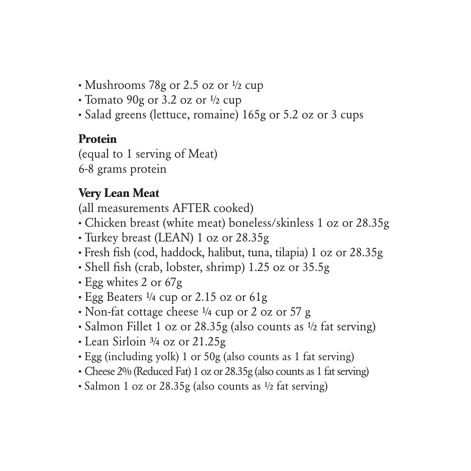- **·** Mushrooms 78g or 2.5 oz or ½ cup
- **·** Tomato 90g or 3.2 oz or ½ cup
- **·** Salad greens (lettuce, romaine) 165g or 5.2 oz or 3 cups

## **Protein**

(equal to 1 serving of Meat) 6-8 grams protein

## **Very Lean Meat**

(all measurements AFTER cooked)

- **·** Chicken breast (white meat) boneless/skinless 1 oz or 28.35g
- **·** Turkey breast (LEAN) 1 oz or 28.35g
- **·** Fresh fish (cod, haddock, halibut, tuna, tilapia) 1 oz or 28.35g
- **·** Shell fish (crab, lobster, shrimp) 1.25 oz or 35.5g
- **·** Egg whites 2 or 67g
- **·** Egg Beaters ¼ cup or 2.15 oz or 61g
- **·** Non-fat cottage cheese ¼ cup or 2 oz or 57 g
- **·** Salmon Fillet 1 oz or 28.35g (also counts as ½ fat serving)
- **·** Lean Sirloin ¾ oz or 21.25g
- **·** Egg (including yolk) 1 or 50g (also counts as 1 fat serving)
- **·** Cheese 2% (Reduced Fat) 1 oz or 28.35g (also counts as 1 fat serving)
- **·** Salmon 1 oz or 28.35g (also counts as ½ fat serving)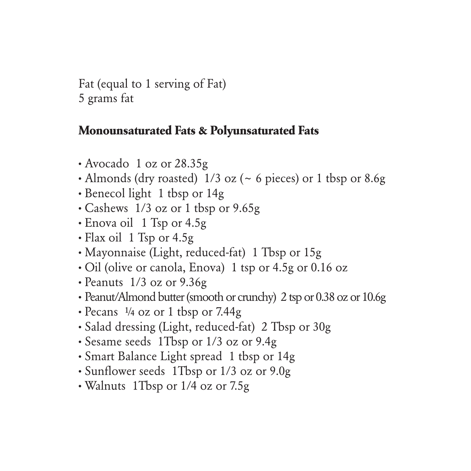Fat (equal to 1 serving of Fat) 5 grams fat

#### **Monounsaturated Fats & Polyunsaturated Fats**

- **·** Avocado 1 oz or 28.35g
- **·** Almonds (dry roasted) 1/3 oz (~ 6 pieces) or 1 tbsp or 8.6g
- **·** Benecol light 1 tbsp or 14g
- **·** Cashews 1/3 oz or 1 tbsp or 9.65g
- **·** Enova oil 1 Tsp or 4.5g
- **·** Flax oil 1 Tsp or 4.5g
- **·** Mayonnaise (Light, reduced-fat) 1 Tbsp or 15g
- **·** Oil (olive or canola, Enova) 1 tsp or 4.5g or 0.16 oz
- **·** Peanuts 1/3 oz or 9.36g
- **·** Peanut/Almond butter (smooth or crunchy) 2 tsp or 0.38 oz or 10.6g
- **·** Pecans ¼ oz or 1 tbsp or 7.44g
- **·** Salad dressing (Light, reduced-fat) 2 Tbsp or 30g
- **·** Sesame seeds 1Tbsp or 1/3 oz or 9.4g
- **·** Smart Balance Light spread 1 tbsp or 14g
- **·** Sunflower seeds 1Tbsp or 1/3 oz or 9.0g
- **·** Walnuts 1Tbsp or 1/4 oz or 7.5g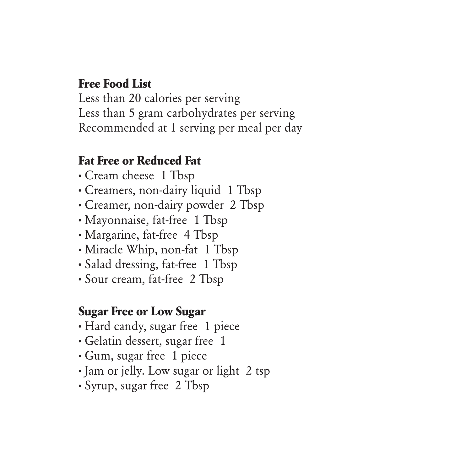#### **Free Food List**

Less than 20 calories per serving Less than 5 gram carbohydrates per serving Recommended at 1 serving per meal per day

#### **Fat Free or Reduced Fat**

- **·** Cream cheese 1 Tbsp
- **·** Creamers, non-dairy liquid 1 Tbsp
- **·** Creamer, non-dairy powder 2 Tbsp
- **·** Mayonnaise, fat-free 1 Tbsp
- **·** Margarine, fat-free 4 Tbsp
- **·** Miracle Whip, non-fat 1 Tbsp
- **·** Salad dressing, fat-free 1 Tbsp
- **·** Sour cream, fat-free 2 Tbsp

#### **Sugar Free or Low Sugar**

- **·** Hard candy, sugar free 1 piece
- **·** Gelatin dessert, sugar free 1
- **·** Gum, sugar free 1 piece
- **·** Jam or jelly. Low sugar or light 2 tsp
- **·** Syrup, sugar free 2 Tbsp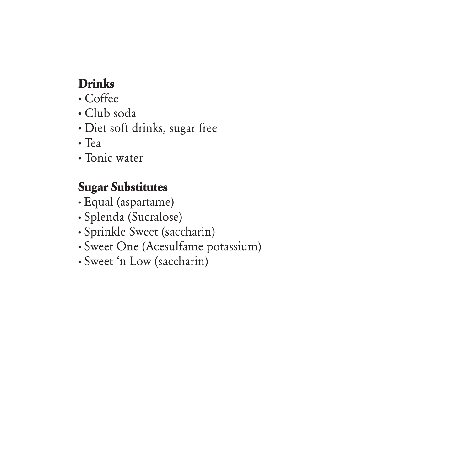## **Drinks**

- **·** Coffee
- **·** Club soda
- **·** Diet soft drinks, sugar free
- **·** Tea
- **·** Tonic water

## **Sugar Substitutes**

- **·** Equal (aspartame)
- **·** Splenda (Sucralose)
- **·** Sprinkle Sweet (saccharin)
- **·** Sweet One (Acesulfame potassium)
- **·** Sweet 'n Low (saccharin)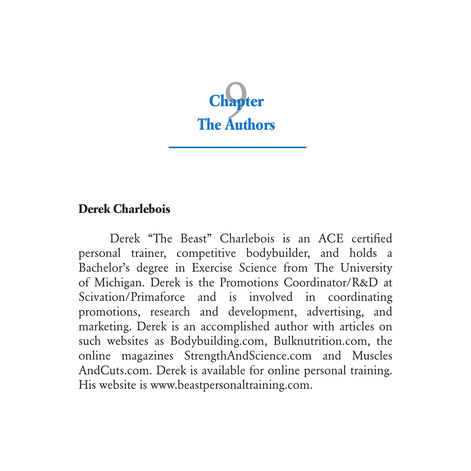

#### **Derek Charlebois**

Derek "The Beast" Charlebois is an ACE certified personal trainer, competitive bodybuilder, and holds a Bachelor's degree in Exercise Science from The University of Michigan. Derek is the Promotions Coordinator/R&D at Scivation/Primaforce and is involved in coordinating promotions, research and development, advertising, and marketing. Derek is an accomplished author with articles on such websites as Bodybuilding.com, Bulknutrition.com, the online magazines StrengthAndScience.com and Muscles AndCuts.com. Derek is available for online personal training. His website is www.beastpersonaltraining.com.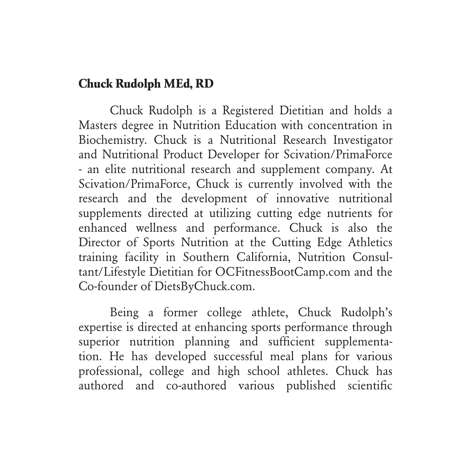#### **Chuck Rudolph MEd, RD**

Chuck Rudolph is a Registered Dietitian and holds a Masters degree in Nutrition Education with concentration in Biochemistry. Chuck is a Nutritional Research Investigator and Nutritional Product Developer for Scivation/PrimaForce - an elite nutritional research and supplement company. At Scivation/PrimaForce, Chuck is currently involved with the research and the development of innovative nutritional supplements directed at utilizing cutting edge nutrients for enhanced wellness and performance. Chuck is also the Director of Sports Nutrition at the Cutting Edge Athletics training facility in Southern California, Nutrition Consultant/Lifestyle Dietitian for OCFitnessBootCamp.com and the Co-founder of DietsByChuck.com.

Being a former college athlete, Chuck Rudolph's expertise is directed at enhancing sports performance through superior nutrition planning and sufficient supplementation. He has developed successful meal plans for various professional, college and high school athletes. Chuck has authored and co-authored various published scientific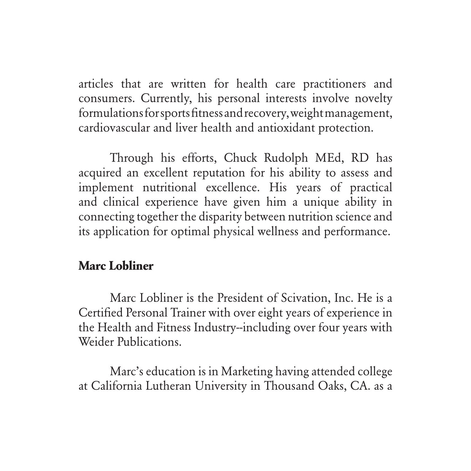articles that are written for health care practitioners and consumers. Currently, his personal interests involve novelty formulations for sports fitness and recovery, weight management, cardiovascular and liver health and antioxidant protection.

Through his efforts, Chuck Rudolph MEd, RD has acquired an excellent reputation for his ability to assess and implement nutritional excellence. His years of practical and clinical experience have given him a unique ability in connecting together the disparity between nutrition science and its application for optimal physical wellness and performance.

#### **Marc Lobliner**

Marc Lobliner is the President of Scivation, Inc. He is a Certified Personal Trainer with over eight years of experience in the Health and Fitness Industry--including over four years with Weider Publications.

Marc's education is in Marketing having attended college at California Lutheran University in Thousand Oaks, CA. as a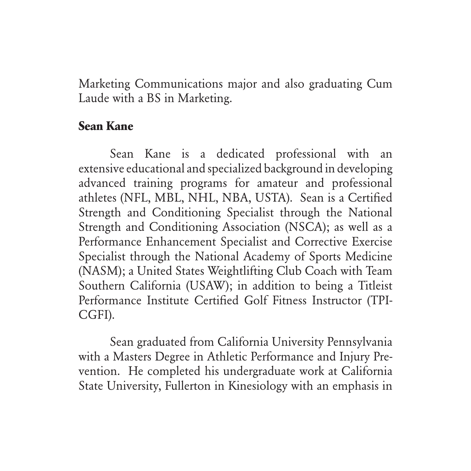Marketing Communications major and also graduating Cum Laude with a BS in Marketing.

#### **Sean Kane**

Sean Kane is a dedicated professional with an extensive educational and specialized background in developing advanced training programs for amateur and professional athletes (NFL, MBL, NHL, NBA, USTA). Sean is a Certified Strength and Conditioning Specialist through the National Strength and Conditioning Association (NSCA); as well as a Performance Enhancement Specialist and Corrective Exercise Specialist through the National Academy of Sports Medicine (NASM); a United States Weightlifting Club Coach with Team Southern California (USAW); in addition to being a Titleist Performance Institute Certified Golf Fitness Instructor (TPI-CGFI).

Sean graduated from California University Pennsylvania with a Masters Degree in Athletic Performance and Injury Prevention. He completed his undergraduate work at California State University, Fullerton in Kinesiology with an emphasis in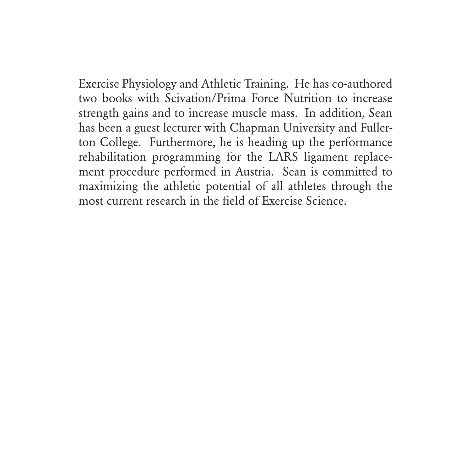Exercise Physiology and Athletic Training. He has co-authored two books with Scivation/Prima Force Nutrition to increase strength gains and to increase muscle mass. In addition, Sean has been a guest lecturer with Chapman University and Fullerton College. Furthermore, he is heading up the performance rehabilitation programming for the LARS ligament replacement procedure performed in Austria. Sean is committed to maximizing the athletic potential of all athletes through the most current research in the field of Exercise Science.